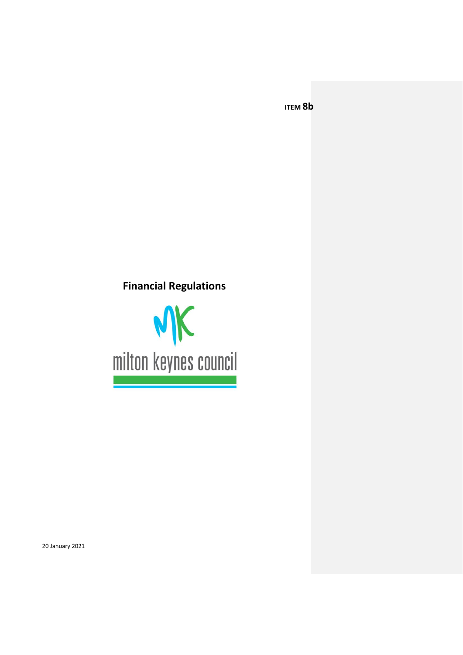**ITEM 8b**

# **Financial Regulations**

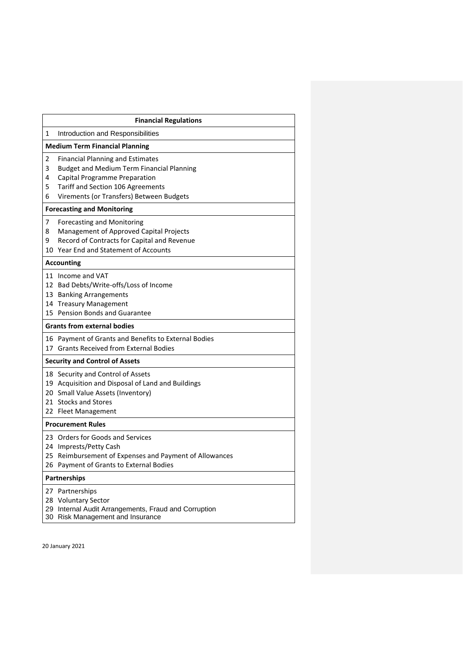| <b>Financial Regulations</b>          |                                                                                                                                                                                                               |  |  |  |
|---------------------------------------|---------------------------------------------------------------------------------------------------------------------------------------------------------------------------------------------------------------|--|--|--|
| 1                                     | Introduction and Responsibilities                                                                                                                                                                             |  |  |  |
| <b>Medium Term Financial Planning</b> |                                                                                                                                                                                                               |  |  |  |
| 2<br>3<br>4<br>5<br>6                 | <b>Financial Planning and Estimates</b><br><b>Budget and Medium Term Financial Planning</b><br>Capital Programme Preparation<br>Tariff and Section 106 Agreements<br>Virements (or Transfers) Between Budgets |  |  |  |
| <b>Forecasting and Monitoring</b>     |                                                                                                                                                                                                               |  |  |  |
| 7<br>8<br>9                           | Forecasting and Monitoring<br>Management of Approved Capital Projects<br>Record of Contracts for Capital and Revenue<br>10 Year End and Statement of Accounts                                                 |  |  |  |
| <b>Accounting</b>                     |                                                                                                                                                                                                               |  |  |  |
|                                       | 11 Income and VAT<br>12 Bad Debts/Write-offs/Loss of Income<br>13 Banking Arrangements<br>14 Treasury Management<br>15 Pension Bonds and Guarantee                                                            |  |  |  |
| <b>Grants from external bodies</b>    |                                                                                                                                                                                                               |  |  |  |
|                                       | 16 Payment of Grants and Benefits to External Bodies<br>17 Grants Received from External Bodies                                                                                                               |  |  |  |
| <b>Security and Control of Assets</b> |                                                                                                                                                                                                               |  |  |  |
|                                       | 18 Security and Control of Assets<br>19 Acquisition and Disposal of Land and Buildings<br>20 Small Value Assets (Inventory)<br>21 Stocks and Stores<br>22 Fleet Management                                    |  |  |  |
| <b>Procurement Rules</b>              |                                                                                                                                                                                                               |  |  |  |
|                                       | 23 Orders for Goods and Services<br>24 Imprests/Petty Cash<br>25 Reimbursement of Expenses and Payment of Allowances<br>26 Payment of Grants to External Bodies                                               |  |  |  |
| Partnerships                          |                                                                                                                                                                                                               |  |  |  |
| 27<br>28<br>29                        | Partnerships<br><b>Voluntary Sector</b><br>Internal Audit Arrangements, Fraud and Corruption<br>30 Risk Management and Insurance                                                                              |  |  |  |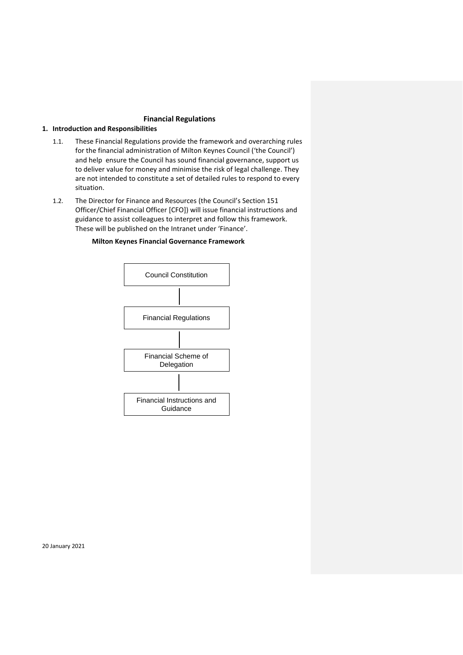# **Financial Regulations**

# **1. Introduction and Responsibilities**

- 1.1. These Financial Regulations provide the framework and overarching rules for the financial administration of Milton Keynes Council ('the Council') and help ensure the Council has sound financial governance, support us to deliver value for money and minimise the risk of legal challenge. They are not intended to constitute a set of detailed rules to respond to every situation.
- 1.2. The Director for Finance and Resources (the Council's Section 151 Officer/Chief Financial Officer [CFO]) will issue financial instructions and guidance to assist colleagues to interpret and follow this framework. These will be published on the Intranet under 'Finance'.

# **Milton Keynes Financial Governance Framework**

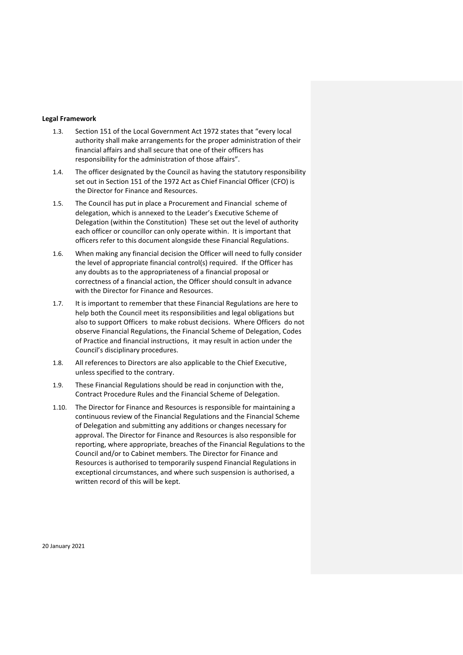#### **Legal Framework**

- 1.3. Section 151 of the Local Government Act 1972 states that "every local authority shall make arrangements for the proper administration of their financial affairs and shall secure that one of their officers has responsibility for the administration of those affairs".
- 1.4. The officer designated by the Council as having the statutory responsibility set out in Section 151 of the 1972 Act as Chief Financial Officer (CFO) is the Director for Finance and Resources.
- 1.5. The Council has put in place a Procurement and Financial scheme of delegation, which is annexed to the Leader's Executive Scheme of Delegation (within the Constitution) These set out the level of authority each officer or councillor can only operate within. It is important that officers refer to this document alongside these Financial Regulations.
- 1.6. When making any financial decision the Officer will need to fully consider the level of appropriate financial control(s) required. If the Officer has any doubts as to the appropriateness of a financial proposal or correctness of a financial action, the Officer should consult in advance with the Director for Finance and Resources.
- 1.7. It is important to remember that these Financial Regulations are here to help both the Council meet its responsibilities and legal obligations but also to support Officers to make robust decisions. Where Officers do not observe Financial Regulations, the Financial Scheme of Delegation, Codes of Practice and financial instructions, it may result in action under the Council's disciplinary procedures.
- 1.8. All references to Directors are also applicable to the Chief Executive, unless specified to the contrary.
- 1.9. These Financial Regulations should be read in conjunction with the, Contract Procedure Rules and the Financial Scheme of Delegation.
- 1.10. The Director for Finance and Resources is responsible for maintaining a continuous review of the Financial Regulations and the Financial Scheme of Delegation and submitting any additions or changes necessary for approval. The Director for Finance and Resources is also responsible for reporting, where appropriate, breaches of the Financial Regulations to the Council and/or to Cabinet members. The Director for Finance and Resources is authorised to temporarily suspend Financial Regulations in exceptional circumstances, and where such suspension is authorised, a written record of this will be kept.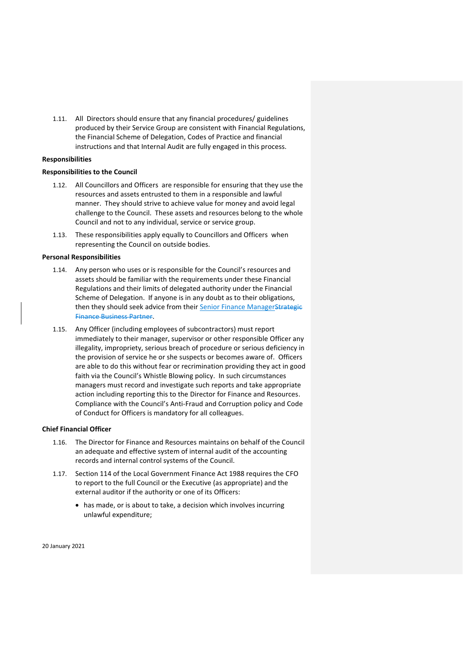1.11. All Directors should ensure that any financial procedures/ guidelines produced by their Service Group are consistent with Financial Regulations, the Financial Scheme of Delegation, Codes of Practice and financial instructions and that Internal Audit are fully engaged in this process.

## **Responsibilities**

# **Responsibilities to the Council**

- 1.12. All Councillors and Officers are responsible for ensuring that they use the resources and assets entrusted to them in a responsible and lawful manner. They should strive to achieve value for money and avoid legal challenge to the Council. These assets and resources belong to the whole Council and not to any individual, service or service group.
- 1.13. These responsibilities apply equally to Councillors and Officers when representing the Council on outside bodies.

#### **Personal Responsibilities**

- 1.14. Any person who uses or is responsible for the Council's resources and assets should be familiar with the requirements under these Financial Regulations and their limits of delegated authority under the Financial Scheme of Delegation. If anyone is in any doubt as to their obligations, then they should seek advice from their Senior Finance ManagerStrategie Finance Business Partner.
- 1.15. Any Officer (including employees of subcontractors) must report immediately to their manager, supervisor or other responsible Officer any illegality, impropriety, serious breach of procedure or serious deficiency in the provision of service he or she suspects or becomes aware of. Officers are able to do this without fear or recrimination providing they act in good faith via the Council's Whistle Blowing policy. In such circumstances managers must record and investigate such reports and take appropriate action including reporting this to the Director for Finance and Resources. Compliance with the Council's Anti-Fraud and Corruption policy and Code of Conduct for Officers is mandatory for all colleagues.

# **Chief Financial Officer**

- 1.16. The Director for Finance and Resources maintains on behalf of the Council an adequate and effective system of internal audit of the accounting records and internal control systems of the Council.
- 1.17. Section 114 of the Local Government Finance Act 1988 requires the CFO to report to the full Council or the Executive (as appropriate) and the external auditor if the authority or one of its Officers:
	- has made, or is about to take, a decision which involves incurring unlawful expenditure;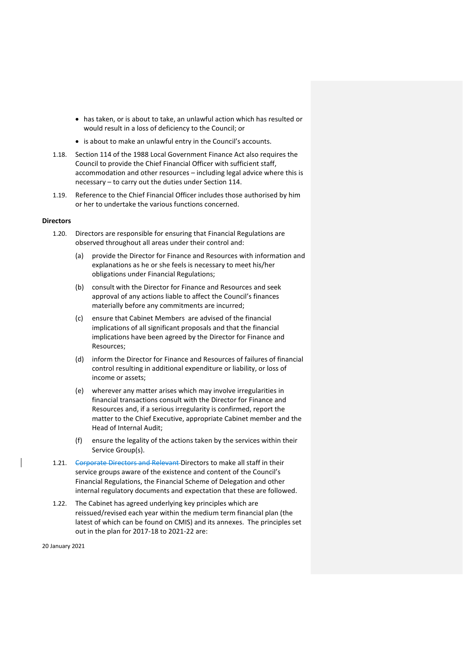- has taken, or is about to take, an unlawful action which has resulted or would result in a loss of deficiency to the Council; or
- is about to make an unlawful entry in the Council's accounts.
- 1.18. Section 114 of the 1988 Local Government Finance Act also requires the Council to provide the Chief Financial Officer with sufficient staff, accommodation and other resources – including legal advice where this is necessary – to carry out the duties under Section 114.
- 1.19. Reference to the Chief Financial Officer includes those authorised by him or her to undertake the various functions concerned.

## **Directors**

- 1.20. Directors are responsible for ensuring that Financial Regulations are observed throughout all areas under their control and:
	- (a) provide the Director for Finance and Resources with information and explanations as he or she feels is necessary to meet his/her obligations under Financial Regulations;
	- (b) consult with the Director for Finance and Resources and seek approval of any actions liable to affect the Council's finances materially before any commitments are incurred;
	- (c) ensure that Cabinet Members are advised of the financial implications of all significant proposals and that the financial implications have been agreed by the Director for Finance and Resources;
	- (d) inform the Director for Finance and Resources of failures of financial control resulting in additional expenditure or liability, or loss of income or assets;
	- (e) wherever any matter arises which may involve irregularities in financial transactions consult with the Director for Finance and Resources and, if a serious irregularity is confirmed, report the matter to the Chief Executive, appropriate Cabinet member and the Head of Internal Audit;
	- (f) ensure the legality of the actions taken by the services within their Service Group(s).
- 1.21. Corporate Directors and Relevant Directors to make all staff in their service groups aware of the existence and content of the Council's Financial Regulations, the Financial Scheme of Delegation and other internal regulatory documents and expectation that these are followed.
- 1.22. The Cabinet has agreed underlying key principles which are reissued/revised each year within the medium term financial plan (the latest of which can be found on CMIS) and its annexes. The principles set out in the plan for 2017-18 to 2021-22 are: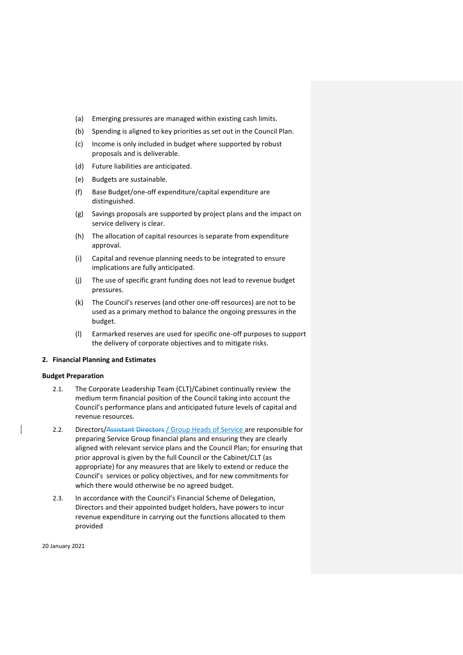- (a) Emerging pressures are managed within existing cash limits.
- (b) Spending is aligned to key priorities as set out in the Council Plan.
- (c) Income is only included in budget where supported by robust proposals and is deliverable.
- (d) Future liabilities are anticipated.
- (e) Budgets are sustainable.
- (f) Base Budget/one-off expenditure/capital expenditure are distinguished.
- (g) Savings proposals are supported by project plans and the impact on service delivery is clear.
- (h) The allocation of capital resources is separate from expenditure approval.
- (i) Capital and revenue planning needs to be integrated to ensure implications are fully anticipated.
- (j) The use of specific grant funding does not lead to revenue budget pressures.
- (k) The Council's reserves (and other one-off resources) are not to be used as a primary method to balance the ongoing pressures in the budget.
- (l) Earmarked reserves are used for specific one-off purposes to support the delivery of corporate objectives and to mitigate risks.

# <span id="page-6-0"></span>**2. Financial Planning and Estimates**

## **Budget Preparation**

- 2.1. The Corporate Leadership Team (CLT)/Cabinet continually review the medium term financial position of the Council taking into account the Council's performance plans and anticipated future levels of capital and revenue resources.
- 2.2. Directors/Assistant Directors / Group Heads of Service are responsible for preparing Service Group financial plans and ensuring they are clearly aligned with relevant service plans and the Council Plan; for ensuring that prior approval is given by the full Council or the Cabinet/CLT (as appropriate) for any measures that are likely to extend or reduce the Council's services or policy objectives, and for new commitments for which there would otherwise be no agreed budget.
- 2.3. In accordance with the Council's Financial Scheme of Delegation, Directors and their appointed budget holders, have powers to incur revenue expenditure in carrying out the functions allocated to them provided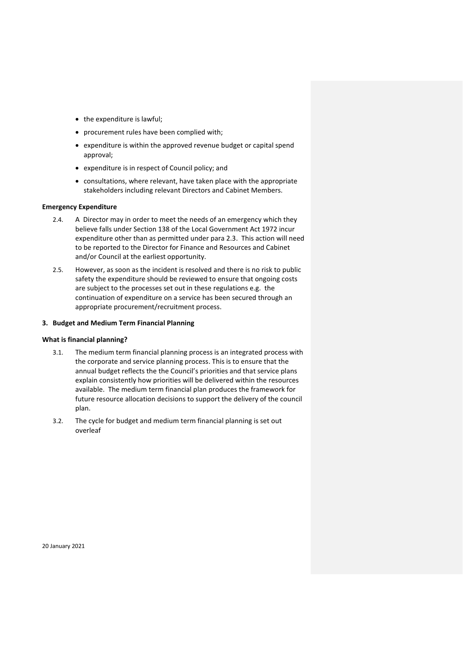- the expenditure is lawful;
- procurement rules have been complied with;
- expenditure is within the approved revenue budget or capital spend approval;
- expenditure is in respect of Council policy; and
- consultations, where relevant, have taken place with the appropriate stakeholders including relevant Directors and Cabinet Members.

# **Emergency Expenditure**

- 2.4. A Director may in order to meet the needs of an emergency which they believe falls under Section 138 of the Local Government Act 1972 incur expenditure other than as permitted under para 2.3. This action will need to be reported to the Director for Finance and Resources and Cabinet and/or Council at the earliest opportunity.
- 2.5. However, as soon as the incident is resolved and there is no risk to public safety the expenditure should be reviewed to ensure that ongoing costs are subject to the processes set out in these regulations e.g. the continuation of expenditure on a service has been secured through an appropriate procurement/recruitment process.

#### <span id="page-7-0"></span>**3. Budget and Medium Term Financial Planning**

# **What is financial planning?**

- 3.1. The medium term financial planning process is an integrated process with the corporate and service planning process. This is to ensure that the annual budget reflects the the Council's priorities and that service plans explain consistently how priorities will be delivered within the resources available. The medium term financial plan produces the framework for future resource allocation decisions to support the delivery of the council plan.
- 3.2. The cycle for budget and medium term financial planning is set out overleaf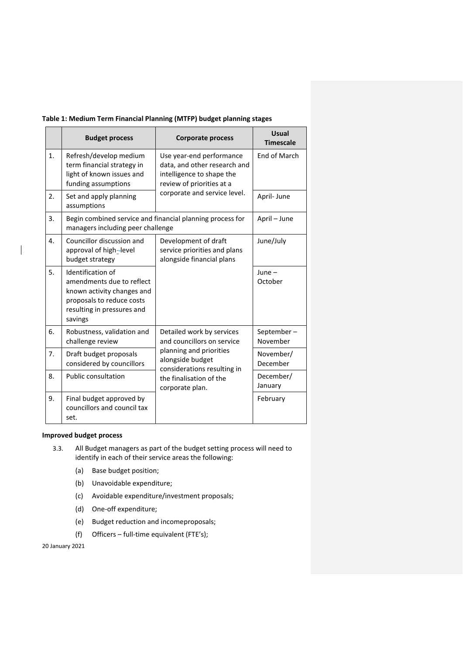| Table 1: Medium Term Financial Planning (MTFP) budget planning stages |  |
|-----------------------------------------------------------------------|--|
|-----------------------------------------------------------------------|--|

|    | <b>Budget process</b>                                                                                                                              | <b>Corporate process</b>                                                                                                                                                            | <b>Usual</b><br><b>Timescale</b> |
|----|----------------------------------------------------------------------------------------------------------------------------------------------------|-------------------------------------------------------------------------------------------------------------------------------------------------------------------------------------|----------------------------------|
| 1. | Refresh/develop medium<br>term financial strategy in<br>light of known issues and<br>funding assumptions                                           | Use year-end performance<br>data, and other research and<br>intelligence to shape the<br>review of priorities at a<br>corporate and service level.                                  | End of March                     |
| 2. | Set and apply planning<br>assumptions                                                                                                              |                                                                                                                                                                                     | April-June                       |
| 3. | managers including peer challenge                                                                                                                  | Begin combined service and financial planning process for                                                                                                                           | April - June                     |
| 4. | Councillor discussion and<br>approval of high-level<br>budget strategy                                                                             | Development of draft<br>service priorities and plans<br>alongside financial plans                                                                                                   | June/July                        |
| 5. | Identification of<br>amendments due to reflect<br>known activity changes and<br>proposals to reduce costs<br>resulting in pressures and<br>savings |                                                                                                                                                                                     | $June -$<br>October              |
| 6. | Robustness, validation and<br>challenge review                                                                                                     | Detailed work by services<br>and councillors on service<br>planning and priorities<br>alongside budget<br>considerations resulting in<br>the finalisation of the<br>corporate plan. | September-<br>November           |
| 7. | Draft budget proposals<br>considered by councillors                                                                                                |                                                                                                                                                                                     | November/<br>December            |
| 8. | <b>Public consultation</b>                                                                                                                         |                                                                                                                                                                                     | December/<br>January             |
| 9. | Final budget approved by<br>councillors and council tax<br>set.                                                                                    |                                                                                                                                                                                     | February                         |

# <span id="page-8-1"></span>**Improved budget process**

<span id="page-8-0"></span> $\mathsf{l}$ 

- 3.3. All Budget managers as part of the budget setting process will need to identify in each of their service areas the following:
	- (a) Base budget position;
	- (b) Unavoidable expenditure;
	- (c) Avoidable expenditure/investment proposals;
	- (d) One-off expenditure;
	- (e) Budget reduction and incomeproposals;
	- (f) Officers full-time equivalent (FTE's);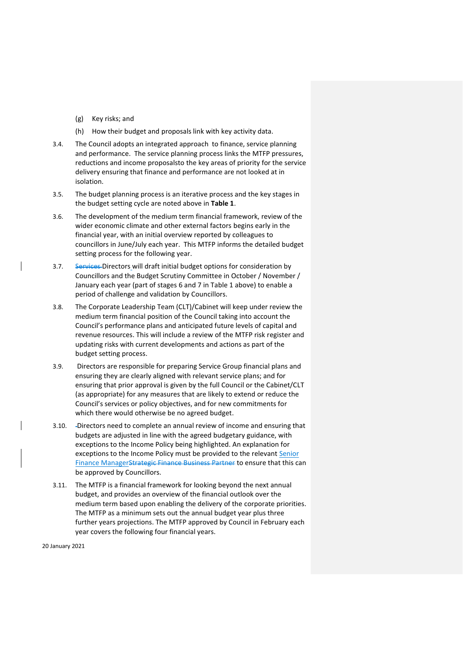- (g) Key risks; and
- (h) How their budget and proposals link with key activity data.
- 3.4. The Council adopts an integrated approach to finance, service planning and performance. The service planning process links the MTFP pressures, reductions and income proposalsto the key areas of priority for the service delivery ensuring that finance and performance are not looked at in isolation.
- 3.5. The budget planning process is an iterative process and the key stages in the budget setting cycle are noted above in **Table 1**.
- 3.6. The development of the medium term financial framework, review of the wider economic climate and other external factors begins early in the financial year, with an initial overview reported by colleagues to councillors in June/July each year. This MTFP informs the detailed budget setting process for the following year.
- 3.7. Services Directors will draft initial budget options for consideration by Councillors and the Budget Scrutiny Committee in October / November / January each year (part of stages [6](#page-8-0) and [7](#page-8-1) in Table 1 above) to enable a period of challenge and validation by Councillors.
- 3.8. The Corporate Leadership Team (CLT)/Cabinet will keep under review the medium term financial position of the Council taking into account the Council's performance plans and anticipated future levels of capital and revenue resources. This will include a review of the MTFP risk register and updating risks with current developments and actions as part of the budget setting process.
- 3.9. Directors are responsible for preparing Service Group financial plans and ensuring they are clearly aligned with relevant service plans; and for ensuring that prior approval is given by the full Council or the Cabinet/CLT (as appropriate) for any measures that are likely to extend or reduce the Council's services or policy objectives, and for new commitments for which there would otherwise be no agreed budget.
- 3.10. Directors need to complete an annual review of income and ensuring that budgets are adjusted in line with the agreed budgetary guidance, with exceptions to the Income Policy being highlighted. An explanation for exceptions to the Income Policy must be provided to the relevant Senior Finance ManagerStrategic Finance Business Partner to ensure that this can be approved by Councillors.
- 3.11. The MTFP is a financial framework for looking beyond the next annual budget, and provides an overview of the financial outlook over the medium term based upon enabling the delivery of the corporate priorities. The MTFP as a minimum sets out the annual budget year plus three further years projections. The MTFP approved by Council in February each year covers the following four financial years.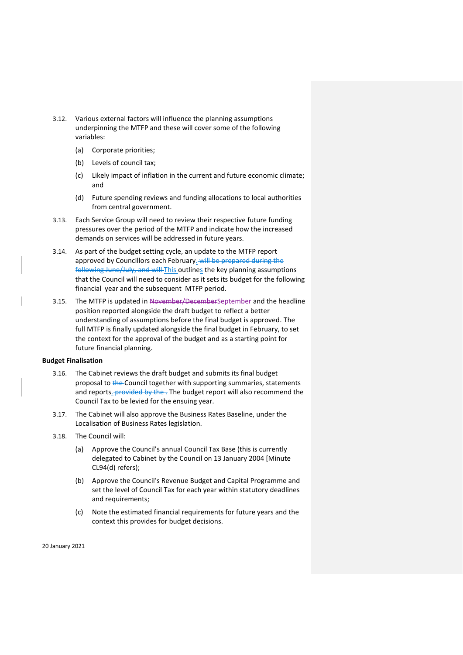- 3.12. Various external factors will influence the planning assumptions underpinning the MTFP and these will cover some of the following variables:
	- (a) Corporate priorities;
	- (b) Levels of council tax;
	- (c) Likely impact of inflation in the current and future economic climate; and
	- (d) Future spending reviews and funding allocations to local authorities from central government.
- 3.13. Each Service Group will need to review their respective future funding pressures over the period of the MTFP and indicate how the increased demands on services will be addressed in future years.
- 3.14. As part of the budget setting cycle, an update to the MTFP report approved by Councillors each February. will be prepared during the following June/July, and will This outlines the key planning assumptions that the Council will need to consider as it sets its budget for the following financial year and the subsequent MTFP period.
- 3.15. The MTFP is updated in November/DecemberSeptember and the headline position reported alongside the draft budget to reflect a better understanding of assumptions before the final budget is approved. The full MTFP is finally updated alongside the final budget in February, to set the context for the approval of the budget and as a starting point for future financial planning.

# **Budget Finalisation**

- 3.16. The Cabinet reviews the draft budget and submits its final budget proposal to the Council together with supporting summaries, statements and reports. provided by the . The budget report will also recommend the Council Tax to be levied for the ensuing year.
- 3.17. The Cabinet will also approve the Business Rates Baseline, under the Localisation of Business Rates legislation.
- <span id="page-10-0"></span>3.18. The Council will:
	- (a) Approve the Council's annual Council Tax Base (this is currently delegated to Cabinet by the Council on 13 January 2004 [Minute CL94(d) refers);
	- (b) Approve the Council's Revenue Budget and Capital Programme and set the level of Council Tax for each year within statutory deadlines and requirements;
	- (c) Note the estimated financial requirements for future years and the context this provides for budget decisions.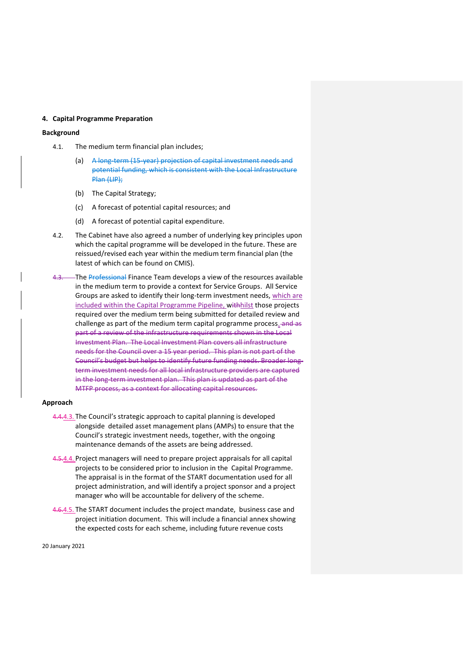## **4. Capital Programme Preparation**

# **Background**

- 4.1. The medium term financial plan includes;
	- (a) A long-term (15-year) projection of capital investment needs and potential funding, which is consistent with the Local Infrastructure Plan (LIP);
	- (b) The Capital Strategy;
	- (c) A forecast of potential capital resources; and
	- (d) A forecast of potential capital expenditure.
- 4.2. The Cabinet have also agreed a number of underlying key principles upon which the capital programme will be developed in the future. These are reissued/revised each year within the medium term financial plan (the latest of which can be found on CMIS).
- -The Professional Finance Team develops a view of the resources available in the medium term to provide a context for Service Groups. All Service Groups are asked to identify their long-term investment needs, which are included within the Capital Programme Pipeline, withhilst those projects required over the medium term being submitted for detailed review and challenge as part of the medium term capital programme process. and as part of a review of the infrastructure requirements shown in the Local Investment Plan. The Local Investment Plan covers all infrastructure needs for the Council over a 15 year period. This plan is not part of the Council's budget but helps to identify future funding needs. Broader longterm investment needs for all local infrastructure providers are captured in the long-term investment plan. This plan is updated as part of the MTFP process, as a context for allocating capital resources.

#### **Approach**

- 4.4.4.3. The Council's strategic approach to capital planning is developed alongside detailed asset management plans (AMPs) to ensure that the Council's strategic investment needs, together, with the ongoing maintenance demands of the assets are being addressed.
- 4.5.4.4. Project managers will need to prepare project appraisals for all capital projects to be considered prior to inclusion in the Capital Programme. The appraisal is in the format of the START documentation used for all project administration, and will identify a project sponsor and a project manager who will be accountable for delivery of the scheme.
- 4.6.4.5. The START document includes the project mandate, business case and project initiation document. This will include a financial annex showing the expected costs for each scheme, including future revenue costs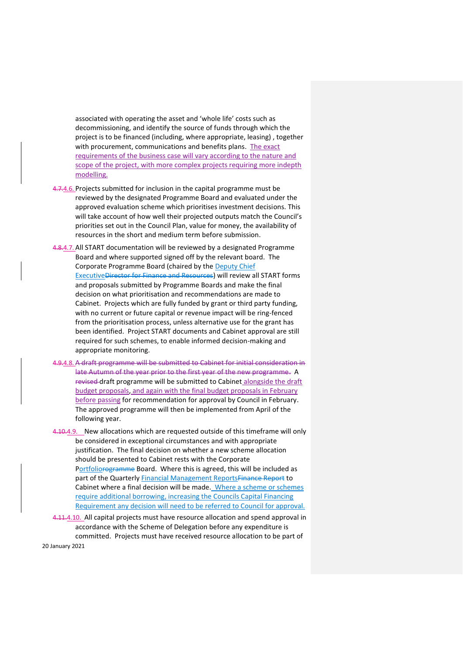associated with operating the asset and 'whole life' costs such as decommissioning, and identify the source of funds through which the project is to be financed (including, where appropriate, leasing) , together with procurement, communications and benefits plans. The exact requirements of the business case will vary according to the nature and scope of the project, with more complex projects requiring more indepth modelling.

- 4.7.4.6. Projects submitted for inclusion in the capital programme must be reviewed by the designated Programme Board and evaluated under the approved evaluation scheme which prioritises investment decisions. This will take account of how well their projected outputs match the Council's priorities set out in the Council Plan, value for money, the availability of resources in the short and medium term before submission.
- 4.8.4.7. All START documentation will be reviewed by a designated Programme Board and where supported signed off by the relevant board. The Corporate Programme Board (chaired by the Deputy Chief ExecutiveDirector for Finance and Resources) will review all START forms and proposals submitted by Programme Boards and make the final decision on what prioritisation and recommendations are made to Cabinet. Projects which are fully funded by grant or third party funding, with no current or future capital or revenue impact will be ring-fenced from the prioritisation process, unless alternative use for the grant has been identified. Project START documents and Cabinet approval are still required for such schemes, to enable informed decision-making and appropriate monitoring.
- 4.9.4.8. A draft programme will be submitted to Cabinet for initial consideration in late Autumn of the year prior to the first year of the new programme. A revised draft programme will be submitted to Cabinet alongside the draft budget proposals, and again with the final budget proposals in February before passing for recommendation for approval by Council in February. The approved programme will then be implemented from April of the following year.
- 4.10.4.9. New allocations which are requested outside of this timeframe will only be considered in exceptional circumstances and with appropriate justification. The final decision on whether a new scheme allocation should be presented to Cabinet rests with the Corporate Portfoliorogramme Board. Where this is agreed, this will be included as part of the Quarterly Financial Management ReportsFinance Report to Cabinet where a final decision will be made. Where a scheme or schemes require additional borrowing, increasing the Councils Capital Financing Requirement any decision will need to be referred to Council for approval.
- 4.11.4.10. All capital projects must have resource allocation and spend approval in accordance with the Scheme of Delegation before any expenditure is committed. Projects must have received resource allocation to be part of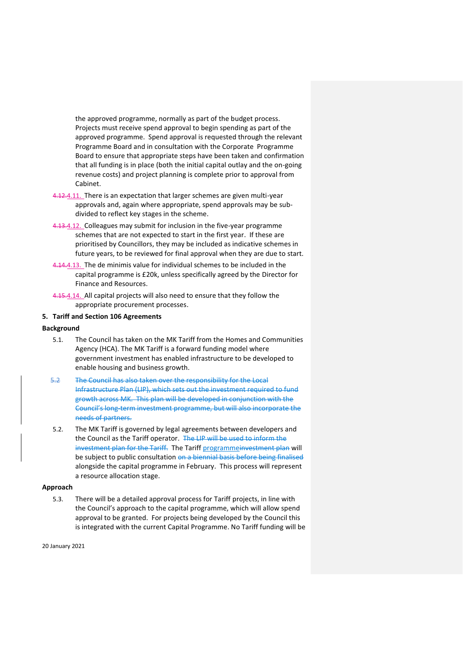the approved programme, normally as part of the budget process. Projects must receive spend approval to begin spending as part of the approved programme. Spend approval is requested through the relevant Programme Board and in consultation with the Corporate Programme Board to ensure that appropriate steps have been taken and confirmation that all funding is in place (both the initial capital outlay and the on-going revenue costs) and project planning is complete prior to approval from Cabinet.

- 4.12.4.11. There is an expectation that larger schemes are given multi-year approvals and, again where appropriate, spend approvals may be subdivided to reflect key stages in the scheme.
- 4.13.4.12. Colleagues may submit for inclusion in the five-year programme schemes that are not expected to start in the first year. If these are prioritised by Councillors, they may be included as indicative schemes in future years, to be reviewed for final approval when they are due to start.
- 4.14.4.13. The de minimis value for individual schemes to be included in the capital programme is £20k, unless specifically agreed by the Director for Finance and Resources.
- 4.15.4.14. All capital projects will also need to ensure that they follow the appropriate procurement processes.

# <span id="page-13-0"></span>**5. Tariff and Section 106 Agreements**

# **Background**

- 5.1. The Council has taken on the MK Tariff from the Homes and Communities Agency (HCA). The MK Tariff is a forward funding model where government investment has enabled infrastructure to be developed to enable housing and business growth.
- 5.2 The Council has also taken over the responsibility for the Local Infrastructure Plan (LIP), which sets out the investment required to fund growth across MK. This plan will be developed in conjunction with the Council's long-term investment programme, but will also incorporate the needs of partners.
- 5.2. The MK Tariff is governed by legal agreements between developers and the Council as the Tariff operator. The LIP will be used to inform the investment plan for the Tariff. The Tariff programmeinvestment plan will be subject to public consultation on a biennial basis before being finalised alongside the capital programme in February. This process will represent a resource allocation stage.

# **Approach**

5.3. There will be a detailed approval process for Tariff projects, in line with the Council's approach to the capital programme, which will allow spend approval to be granted. For projects being developed by the Council this is integrated with the current Capital Programme. No Tariff funding will be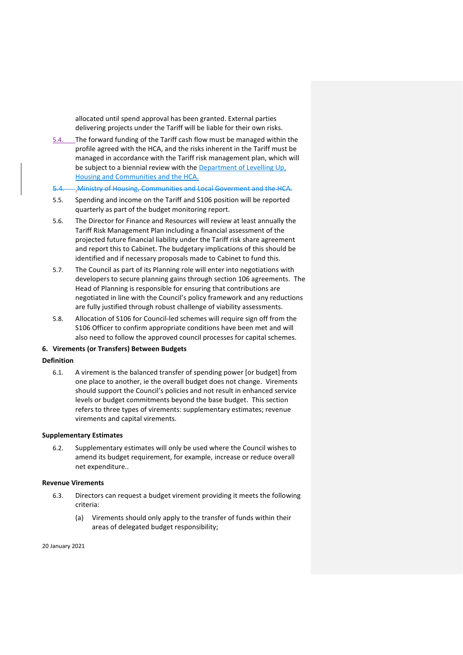allocated until spend approval has been granted. External parties delivering projects under the Tariff will be liable for their own risks.

- 5.4. The forward funding of the Tariff cash flow must be managed within the profile agreed with the HCA, and the risks inherent in the Tariff must be managed in accordance with the Tariff risk management plan, which will be subject to a biennial review with the Department of Levelling Up, Housing and Communities and the HCA.
- 5.4. .Ministry of Housing, Communities and Local Goverment and the HCA.
- 5.5. Spending and income on the Tariff and S106 position will be reported quarterly as part of the budget monitoring report.
- 5.6. The Director for Finance and Resources will review at least annually the Tariff Risk Management Plan including a financial assessment of the projected future financial liability under the Tariff risk share agreement and report this to Cabinet. The budgetary implications of this should be identified and if necessary proposals made to Cabinet to fund this.
- 5.7. The Council as part of its Planning role will enter into negotiations with developers to secure planning gains through section 106 agreements. The Head of Planning is responsible for ensuring that contributions are negotiated in line with the Council's policy framework and any reductions are fully justified through robust challenge of viability assessments.
- 5.8. Allocation of S106 for Council-led schemes will require sign off from the S106 Officer to confirm appropriate conditions have been met and will also need to follow the approved council processes for capital schemes.

# <span id="page-14-0"></span>**6. Virements (or Transfers) Between Budgets**

# **Definition**

6.1. A virement is the balanced transfer of spending power [or budget] from one place to another, ie the overall budget does not change. Virements should support the Council's policies and not result in enhanced service levels or budget commitments beyond the base budget. This section refers to three types of virements: supplementary estimates; revenue virements and capital virements.

#### **Supplementary Estimates**

6.2. Supplementary estimates will only be used where the Council wishes to amend its budget requirement, for example, increase or reduce overall net expenditure..

#### **Revenue Virements**

- 6.3. Directors can request a budget virement providing it meets the following criteria:
	- (a) Virements should only apply to the transfer of funds within their areas of delegated budget responsibility;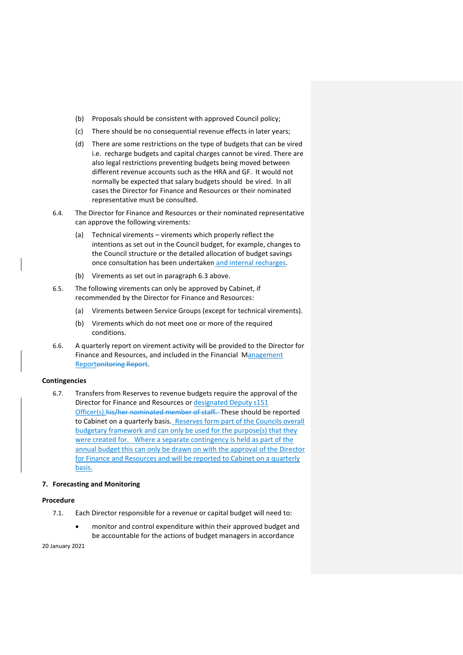- (b) Proposals should be consistent with approved Council policy;
- (c) There should be no consequential revenue effects in later years;
- (d) There are some restrictions on the type of budgets that can be vired i.e. recharge budgets and capital charges cannot be vired. There are also legal restrictions preventing budgets being moved between different revenue accounts such as the HRA and GF. It would not normally be expected that salary budgets should be vired. In all cases the Director for Finance and Resources or their nominated representative must be consulted.
- 6.4. The Director for Finance and Resources or their nominated representative can approve the following virements:
	- (a) Technical virements virements which properly reflect the intentions as set out in the Council budget, for example, changes to the Council structure or the detailed allocation of budget savings once consultation has been undertaken and internal recharges.
	- (b) Virements as set out in paragraph 6.3 above.
- 6.5. The following virements can only be approved by Cabinet, if recommended by the Director for Finance and Resources:
	- (a) Virements between Service Groups (except for technical virements).
	- (b) Virements which do not meet one or more of the required conditions.
- 6.6. A quarterly report on virement activity will be provided to the Director for Finance and Resources, and included in the Financial Management Reportonitoring Report.

#### **Contingencies**

6.7. Transfers from Reserves to revenue budgets require the approval of the Director for Finance and Resources or designated Deputy s151 Officer(s).his/her nominated member of staff. These should be reported to Cabinet on a quarterly basis. Reserves form part of the Councils overall budgetary framework and can only be used for the purpose(s) that they were created for. Where a separate contingency is held as part of the annual budget this can only be drawn on with the approval of the Director for Finance and Resources and will be reported to Cabinet on a quarterly basis.

#### <span id="page-15-0"></span>**7. Forecasting and Monitoring**

# **Procedure**

- 7.1. Each Director responsible for a revenue or capital budget will need to:
	- monitor and control expenditure within their approved budget and be accountable for the actions of budget managers in accordance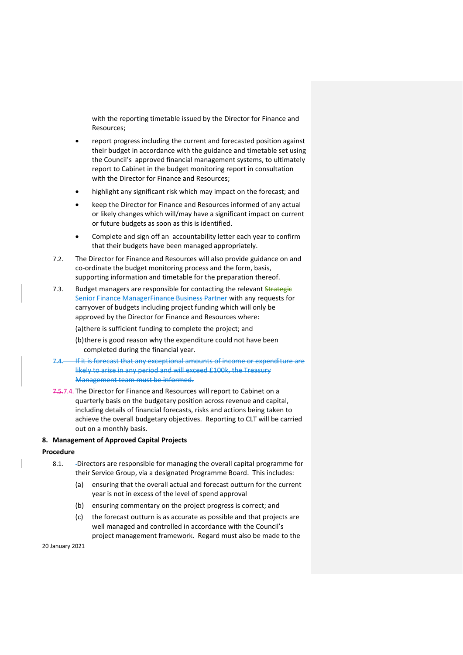with the reporting timetable issued by the Director for Finance and Resources;

- report progress including the current and forecasted position against their budget in accordance with the guidance and timetable set using the Council's approved financial management systems, to ultimately report to Cabinet in the budget monitoring report in consultation with the Director for Finance and Resources;
- highlight any significant risk which may impact on the forecast; and
- keep the Director for Finance and Resources informed of any actual or likely changes which will/may have a significant impact on current or future budgets as soon as this is identified.
- Complete and sign off an accountability letter each year to confirm that their budgets have been managed appropriately.
- 7.2. The Director for Finance and Resources will also provide guidance on and co-ordinate the budget monitoring process and the form, basis, supporting information and timetable for the preparation thereof.
- 7.3. Budget managers are responsible for contacting the relevant Strategie Senior Finance Manager Finance Business Partner with any requests for carryover of budgets including project funding which will only be approved by the Director for Finance and Resources where:
	- (a)there is sufficient funding to complete the project; and
	- (b)there is good reason why the expenditure could not have been completed during the financial year.
- If it is forecast that any exceptional amounts of income or expenditure are likely to arise in any period and will exceed £100k, the Treasury Management team must be informed.
- 7.5.7.4. The Director for Finance and Resources will report to Cabinet on a quarterly basis on the budgetary position across revenue and capital, including details of financial forecasts, risks and actions being taken to achieve the overall budgetary objectives. Reporting to CLT will be carried out on a monthly basis.

# <span id="page-16-0"></span>**8. Management of Approved Capital Projects**

#### **Procedure**

- 8.1. Directors are responsible for managing the overall capital programme for their Service Group, via a designated Programme Board. This includes:
	- (a) ensuring that the overall actual and forecast outturn for the current year is not in excess of the level of spend approval
	- (b) ensuring commentary on the project progress is correct; and
	- (c) the forecast outturn is as accurate as possible and that projects are well managed and controlled in accordance with the Council's project management framework. Regard must also be made to the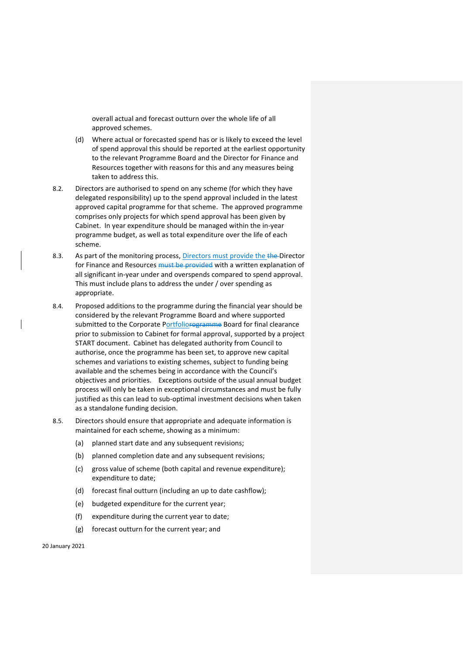overall actual and forecast outturn over the whole life of all approved schemes.

- (d) Where actual or forecasted spend has or is likely to exceed the level of spend approval this should be reported at the earliest opportunity to the relevant Programme Board and the Director for Finance and Resources together with reasons for this and any measures being taken to address this.
- 8.2. Directors are authorised to spend on any scheme (for which they have delegated responsibility) up to the spend approval included in the latest approved capital programme for that scheme. The approved programme comprises only projects for which spend approval has been given by Cabinet. In year expenditure should be managed within the in-year programme budget, as well as total expenditure over the life of each scheme.
- 8.3. As part of the monitoring process, Directors must provide the the-Director for Finance and Resources must be provided with a written explanation of all significant in-year under and overspends compared to spend approval. This must include plans to address the under / over spending as appropriate.
- 8.4. Proposed additions to the programme during the financial year should be considered by the relevant Programme Board and where supported submitted to the Corporate Portfoliorogramme Board for final clearance prior to submission to Cabinet for formal approval, supported by a project START document. Cabinet has delegated authority from Council to authorise, once the programme has been set, to approve new capital schemes and variations to existing schemes, subject to funding being available and the schemes being in accordance with the Council's objectives and priorities. Exceptions outside of the usual annual budget process will only be taken in exceptional circumstances and must be fully justified as this can lead to sub-optimal investment decisions when taken as a standalone funding decision.
- 8.5. Directors should ensure that appropriate and adequate information is maintained for each scheme, showing as a minimum:
	- (a) planned start date and any subsequent revisions;
	- (b) planned completion date and any subsequent revisions;
	- (c) gross value of scheme (both capital and revenue expenditure); expenditure to date;
	- (d) forecast final outturn (including an up to date cashflow);
	- (e) budgeted expenditure for the current year;
	- (f) expenditure during the current year to date;
	- (g) forecast outturn for the current year; and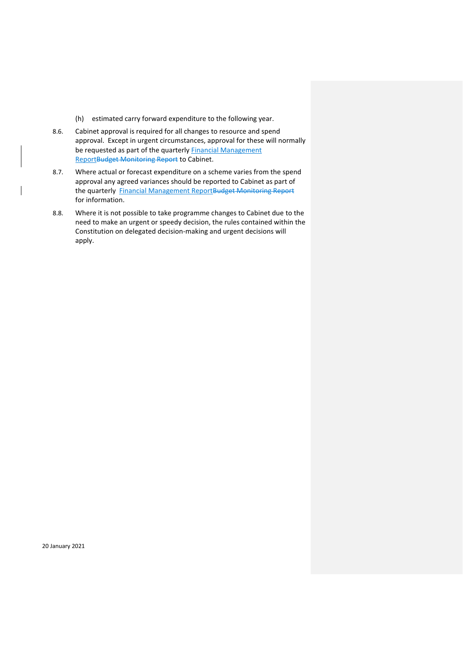- (h) estimated carry forward expenditure to the following year.
- 8.6. Cabinet approval is required for all changes to resource and spend approval. Except in urgent circumstances, approval for these will normally be requested as part of the quarterly Financial Management ReportBudget Monitoring Report to Cabinet.
- 8.7. Where actual or forecast expenditure on a scheme varies from the spend approval any agreed variances should be reported to Cabinet as part of the quarterly Financial Management ReportBudget Monitoring Report for information.
- 8.8. Where it is not possible to take programme changes to Cabinet due to the need to make an urgent or speedy decision, the rules contained within the Constitution on delegated decision-making and urgent decisions will apply.

20 January 2021

 $\overline{\phantom{a}}$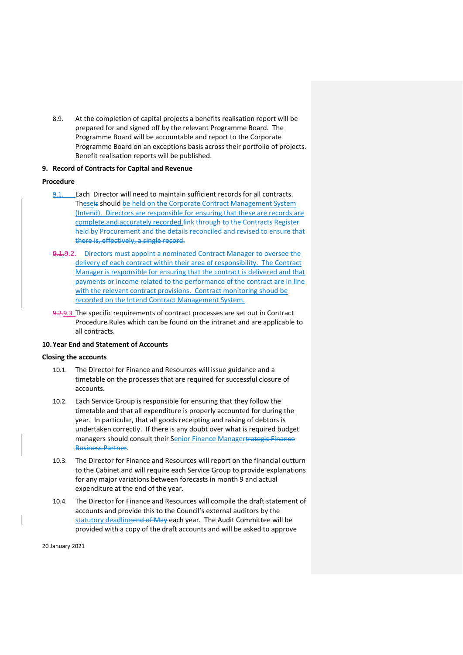8.9. At the completion of capital projects a benefits realisation report will be prepared for and signed off by the relevant Programme Board. The Programme Board will be accountable and report to the Corporate Programme Board on an exceptions basis across their portfolio of projects. Benefit realisation reports will be published.

# <span id="page-19-0"></span>**9. Record of Contracts for Capital and Revenue**

# **Procedure**

- 9.1. Each Director will need to maintain sufficient records for all contracts. Theseis should be held on the Corporate Contract Management System (Intend). Directors are responsible for ensuring that these are records are complete and accurately recorded. link through to the Contracts Register held by Procurement and the details reconciled and revised to ensure that there is, effectively, a single record.
- 9.1.9.2. Directors must appoint a nominated Contract Manager to oversee the delivery of each contract within their area of responsibility. The Contract Manager is responsible for ensuring that the contract is delivered and that payments or income related to the performance of the contract are in line with the relevant contract provisions. Contract monitoring shoud be recorded on the Intend Contract Management System.
- 9.2.9.3. The specific requirements of contract processes are set out in Contract Procedure Rules which can be found on the intranet and are applicable to all contracts.

# <span id="page-19-1"></span>**10.Year End and Statement of Accounts**

# **Closing the accounts**

- 10.1. The Director for Finance and Resources will issue guidance and a timetable on the processes that are required for successful closure of accounts.
- 10.2. Each Service Group is responsible for ensuring that they follow the timetable and that all expenditure is properly accounted for during the year. In particular, that all goods receipting and raising of debtors is undertaken correctly. If there is any doubt over what is required budget managers should consult their Senior Finance Managertrategic Finance Business Partner.
- 10.3. The Director for Finance and Resources will report on the financial outturn to the Cabinet and will require each Service Group to provide explanations for any major variations between forecasts in month 9 and actual expenditure at the end of the year.
- 10.4. The Director for Finance and Resources will compile the draft statement of accounts and provide this to the Council's external auditors by the statutory deadlineend of May each year. The Audit Committee will be provided with a copy of the draft accounts and will be asked to approve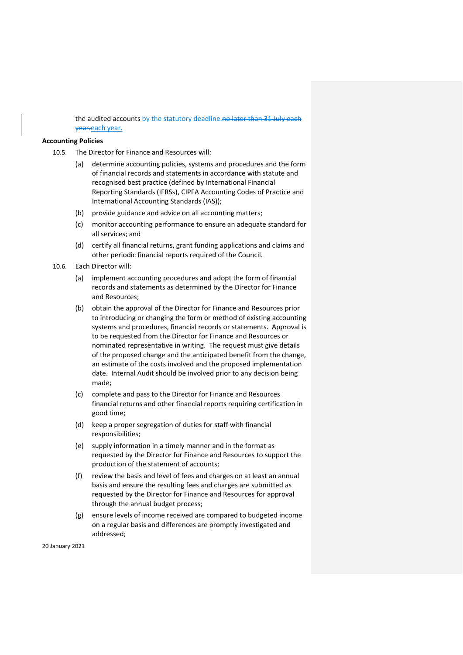the audited accounts by the statutory deadline.no later than 31 July each year.each year.

## **Accounting Policies**

10.5. The Director for Finance and Resources will:

- (a) determine accounting policies, systems and procedures and the form of financial records and statements in accordance with statute and recognised best practice (defined by International Financial Reporting Standards (IFRSs), CIPFA Accounting Codes of Practice and International Accounting Standards (IAS));
- (b) provide guidance and advice on all accounting matters;
- (c) monitor accounting performance to ensure an adequate standard for all services; and
- (d) certify all financial returns, grant funding applications and claims and other periodic financial reports required of the Council.
- 10.6. Each Director will:
	- (a) implement accounting procedures and adopt the form of financial records and statements as determined by the Director for Finance and Resources;
	- (b) obtain the approval of the Director for Finance and Resources prior to introducing or changing the form or method of existing accounting systems and procedures, financial records or statements. Approval is to be requested from the Director for Finance and Resources or nominated representative in writing. The request must give details of the proposed change and the anticipated benefit from the change, an estimate of the costs involved and the proposed implementation date. Internal Audit should be involved prior to any decision being made;
	- (c) complete and pass to the Director for Finance and Resources financial returns and other financial reports requiring certification in good time;
	- (d) keep a proper segregation of duties for staff with financial responsibilities;
	- (e) supply information in a timely manner and in the format as requested by the Director for Finance and Resources to support the production of the statement of accounts;
	- (f) review the basis and level of fees and charges on at least an annual basis and ensure the resulting fees and charges are submitted as requested by the Director for Finance and Resources for approval through the annual budget process;
	- (g) ensure levels of income received are compared to budgeted income on a regular basis and differences are promptly investigated and addressed;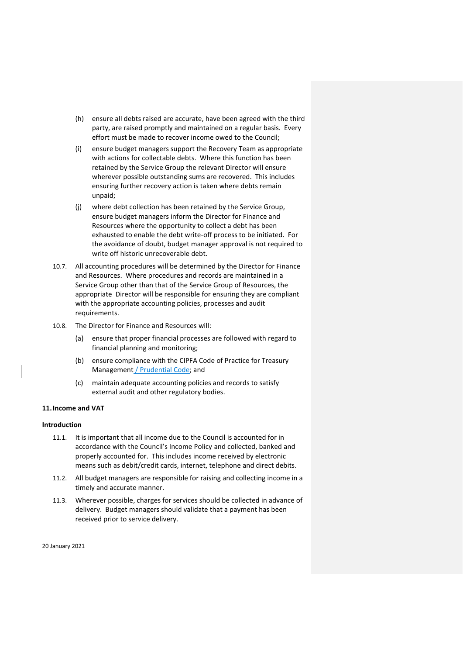- (h) ensure all debts raised are accurate, have been agreed with the third party, are raised promptly and maintained on a regular basis. Every effort must be made to recover income owed to the Council;
- (i) ensure budget managers support the Recovery Team as appropriate with actions for collectable debts. Where this function has been retained by the Service Group the relevant Director will ensure wherever possible outstanding sums are recovered. This includes ensuring further recovery action is taken where debts remain unpaid;
- (j) where debt collection has been retained by the Service Group, ensure budget managers inform the Director for Finance and Resources where the opportunity to collect a debt has been exhausted to enable the debt write-off process to be initiated. For the avoidance of doubt, budget manager approval is not required to write off historic unrecoverable debt.
- 10.7. All accounting procedures will be determined by the Director for Finance and Resources. Where procedures and records are maintained in a Service Group other than that of the Service Group of Resources, the appropriate Director will be responsible for ensuring they are compliant with the appropriate accounting policies, processes and audit requirements.
- 10.8. The Director for Finance and Resources will:
	- (a) ensure that proper financial processes are followed with regard to financial planning and monitoring;
	- (b) ensure compliance with the CIPFA Code of Practice for Treasury Management / Prudential Code; and
	- (c) maintain adequate accounting policies and records to satisfy external audit and other regulatory bodies.

# <span id="page-21-0"></span>**11.Income and VAT**

#### **Introduction**

- 11.1. It is important that all income due to the Council is accounted for in accordance with the Council's Income Policy and collected, banked and properly accounted for. This includes income received by electronic means such as debit/credit cards, internet, telephone and direct debits.
- 11.2. All budget managers are responsible for raising and collecting income in a timely and accurate manner.
- 11.3. Wherever possible, charges for services should be collected in advance of delivery. Budget managers should validate that a payment has been received prior to service delivery.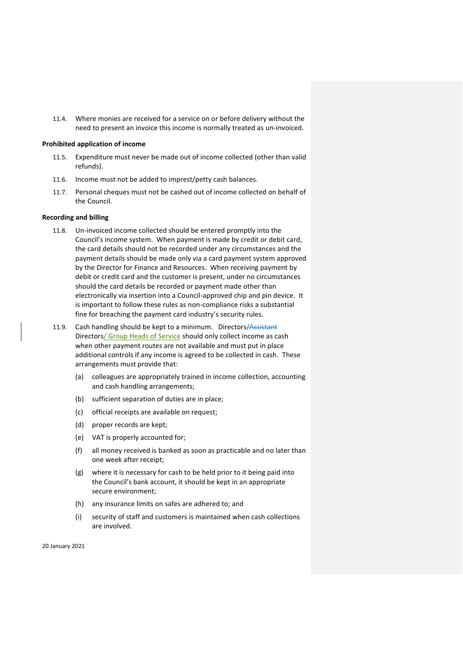11.4. Where monies are received for a service on or before delivery without the need to present an invoice this income is normally treated as un-invoiced.

## **Prohibited application of income**

- 11.5. Expenditure must never be made out of income collected (other than valid refunds).
- 11.6. Income must not be added to imprest/petty cash balances.
- 11.7. Personal cheques must not be cashed out of income collected on behalf of the Council.

# **Recording and billing**

- 11.8. Un-invoiced income collected should be entered promptly into the Council's income system. When payment is made by credit or debit card, the card details should not be recorded under any circumstances and the payment details should be made only via a card payment system approved by the Director for Finance and Resources. When receiving payment by debit or credit card and the customer is present, under no circumstances should the card details be recorded or payment made other than electronically via insertion into a Council-approved chip and pin device. It is important to follow these rules as non-compliance risks a substantial fine for breaching the payment card industry's security rules.
- 11.9. Cash handling should be kept to a minimum. Directors/Assistant Directors/ Group Heads of Service should only collect income as cash when other payment routes are not available and must put in place additional controls if any income is agreed to be collected in cash. These arrangements must provide that:
	- (a) colleagues are appropriately trained in income collection, accounting and cash handling arrangements;
	- (b) sufficient separation of duties are in place;
	- (c) official receipts are available on request;
	- (d) proper records are kept;
	- (e) VAT is properly accounted for;
	- (f) all money received is banked as soon as practicable and no later than one week after receipt;
	- (g) where it is necessary for cash to be held prior to it being paid into the Council's bank account, it should be kept in an appropriate secure environment;
	- (h) any insurance limits on safes are adhered to; and
	- (i) security of staff and customers is maintained when cash collections are involved.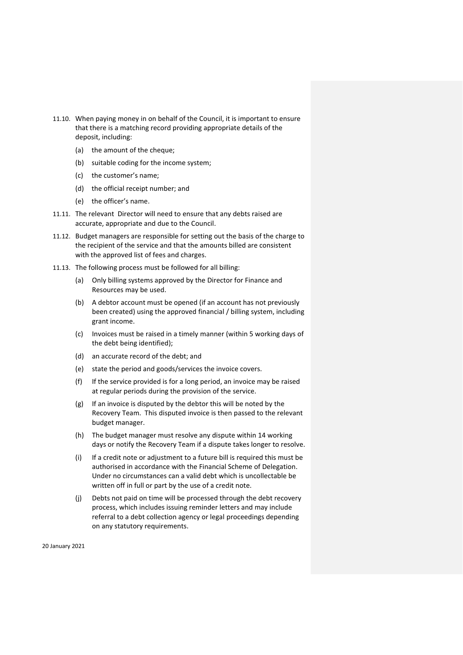- 11.10. When paying money in on behalf of the Council, it is important to ensure that there is a matching record providing appropriate details of the deposit, including:
	- (a) the amount of the cheque;
	- (b) suitable coding for the income system;
	- (c) the customer's name;
	- (d) the official receipt number; and
	- (e) the officer's name.
- 11.11. The relevant Director will need to ensure that any debts raised are accurate, appropriate and due to the Council.
- 11.12. Budget managers are responsible for setting out the basis of the charge to the recipient of the service and that the amounts billed are consistent with the approved list of fees and charges.
- 11.13. The following process must be followed for all billing:
	- (a) Only billing systems approved by the Director for Finance and Resources may be used.
	- (b) A debtor account must be opened (if an account has not previously been created) using the approved financial / billing system, including grant income.
	- (c) Invoices must be raised in a timely manner (within 5 working days of the debt being identified);
	- (d) an accurate record of the debt; and
	- (e) state the period and goods/services the invoice covers.
	- (f) If the service provided is for a long period, an invoice may be raised at regular periods during the provision of the service.
	- (g) If an invoice is disputed by the debtor this will be noted by the Recovery Team. This disputed invoice is then passed to the relevant budget manager.
	- (h) The budget manager must resolve any dispute within 14 working days or notify the Recovery Team if a dispute takes longer to resolve.
	- (i) If a credit note or adjustment to a future bill is required this must be authorised in accordance with the Financial Scheme of Delegation. Under no circumstances can a valid debt which is uncollectable be written off in full or part by the use of a credit note.
	- (j) Debts not paid on time will be processed through the debt recovery process, which includes issuing reminder letters and may include referral to a debt collection agency or legal proceedings depending on any statutory requirements.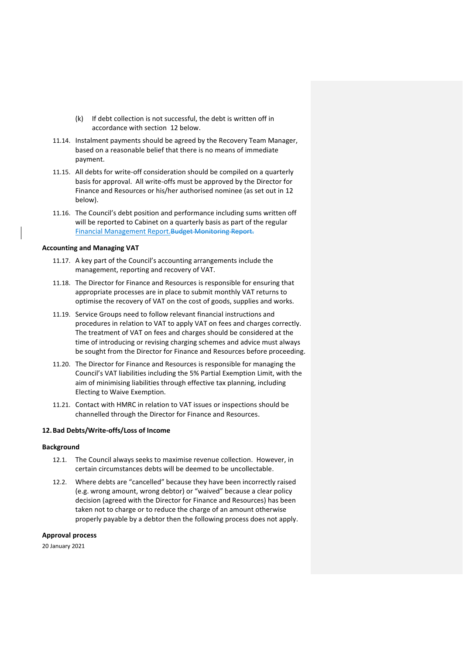- (k) If debt collection is not successful, the debt is written off in accordance with section 12 below.
- 11.14. Instalment payments should be agreed by the Recovery Team Manager, based on a reasonable belief that there is no means of immediate payment.
- 11.15. All debts for write-off consideration should be compiled on a quarterly basis for approval. All write-offs must be approved by the Director for Finance and Resources or his/her authorised nominee (as set out in [12](#page-24-0) below).
- 11.16. The Council's debt position and performance including sums written off will be reported to Cabinet on a quarterly basis as part of the regular Financial Management Report. Budget Monitoring Report.

#### **Accounting and Managing VAT**

- 11.17. A key part of the Council's accounting arrangements include the management, reporting and recovery of VAT.
- 11.18. The Director for Finance and Resources is responsible for ensuring that appropriate processes are in place to submit monthly VAT returns to optimise the recovery of VAT on the cost of goods, supplies and works.
- 11.19. Service Groups need to follow relevant financial instructions and procedures in relation to VAT to apply VAT on fees and charges correctly. The treatment of VAT on fees and charges should be considered at the time of introducing or revising charging schemes and advice must always be sought from the Director for Finance and Resources before proceeding.
- 11.20. The Director for Finance and Resources is responsible for managing the Council's VAT liabilities including the 5% Partial Exemption Limit, with the aim of minimising liabilities through effective tax planning, including Electing to Waive Exemption.
- 11.21. Contact with HMRC in relation to VAT issues or inspections should be channelled through the Director for Finance and Resources.

# <span id="page-24-0"></span>**12.Bad Debts/Write-offs/Loss of Income**

# **Background**

- 12.1. The Council always seeks to maximise revenue collection. However, in certain circumstances debts will be deemed to be uncollectable.
- 12.2. Where debts are "cancelled" because they have been incorrectly raised (e.g. wrong amount, wrong debtor) or "waived" because a clear policy decision (agreed with the Director for Finance and Resources) has been taken not to charge or to reduce the charge of an amount otherwise properly payable by a debtor then the following process does not apply.

# **Approval process**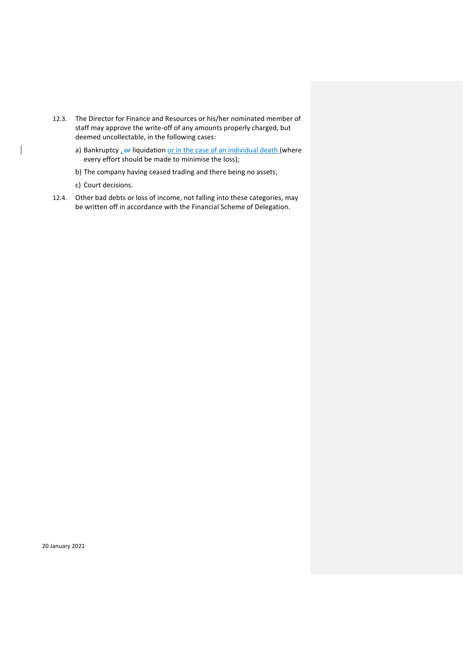- 12.3. The Director for Finance and Resources or his/her nominated member of staff may approve the write-off of any amounts properly charged, but deemed uncollectable, in the following cases:
	- a) Bankruptcy,  $\theta$  liquidation or in the case of an individual death (where every effort should be made to minimise the loss);
	- b) The company having ceased trading and there being no assets;
	- c) Court decisions.

 $\overline{\phantom{a}}$ 

<span id="page-25-0"></span>12.4. Other bad debts or loss of income, not falling into these categories, may be written off in accordance with the Financial Scheme of Delegation.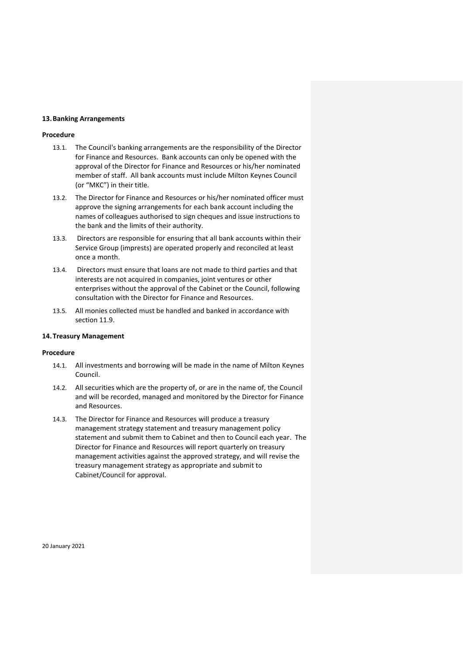## **13.Banking Arrangements**

# **Procedure**

- 13.1. The Council's banking arrangements are the responsibility of the Director for Finance and Resources. Bank accounts can only be opened with the approval of the Director for Finance and Resources or his/her nominated member of staff. All bank accounts must include Milton Keynes Council (or "MKC") in their title.
- 13.2. The Director for Finance and Resources or his/her nominated officer must approve the signing arrangements for each bank account including the names of colleagues authorised to sign cheques and issue instructions to the bank and the limits of their authority.
- 13.3. Directors are responsible for ensuring that all bank accounts within their Service Group (imprests) are operated properly and reconciled at least once a month.
- 13.4. Directors must ensure that loans are not made to third parties and that interests are not acquired in companies, joint ventures or other enterprises without the approval of the Cabinet or the Council, following consultation with the Director for Finance and Resources.
- 13.5. All monies collected must be handled and banked in accordance with section 11.9.

# <span id="page-26-0"></span>**14.Treasury Management**

# **Procedure**

- 14.1. All investments and borrowing will be made in the name of Milton Keynes Council.
- 14.2. All securities which are the property of, or are in the name of, the Council and will be recorded, managed and monitored by the Director for Finance and Resources.
- 14.3. The Director for Finance and Resources will produce a treasury management strategy statement and treasury management policy statement and submit them to Cabinet and then to Council each year. The Director for Finance and Resources will report quarterly on treasury management activities against the approved strategy, and will revise the treasury management strategy as appropriate and submit to Cabinet/Council for approval.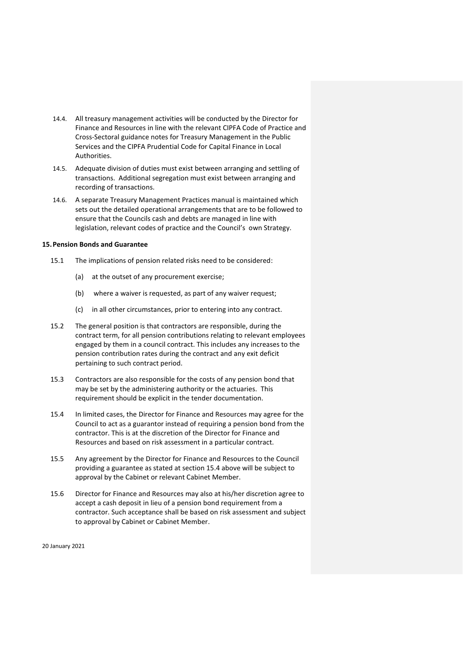- 14.4. All treasury management activities will be conducted by the Director for Finance and Resources in line with the relevant CIPFA Code of Practice and Cross-Sectoral guidance notes for Treasury Management in the Public Services and the CIPFA Prudential Code for Capital Finance in Local Authorities.
- 14.5. Adequate division of duties must exist between arranging and settling of transactions. Additional segregation must exist between arranging and recording of transactions.
- 14.6. A separate Treasury Management Practices manual is maintained which sets out the detailed operational arrangements that are to be followed to ensure that the Councils cash and debts are managed in line with legislation, relevant codes of practice and the Council's own Strategy.

# <span id="page-27-0"></span>**15.Pension Bonds and Guarantee**

- 15.1 The implications of pension related risks need to be considered:
	- (a) at the outset of any procurement exercise;
	- (b) where a waiver is requested, as part of any waiver request;
	- (c) in all other circumstances, prior to entering into any contract.
- 15.2 The general position is that contractors are responsible, during the contract term, for all pension contributions relating to relevant employees engaged by them in a council contract. This includes any increases to the pension contribution rates during the contract and any exit deficit pertaining to such contract period.
- 15.3 Contractors are also responsible for the costs of any pension bond that may be set by the administering authority or the actuaries. This requirement should be explicit in the tender documentation.
- 15.4 In limited cases, the Director for Finance and Resources may agree for the Council to act as a guarantor instead of requiring a pension bond from the contractor. This is at the discretion of the Director for Finance and Resources and based on risk assessment in a particular contract.
- 15.5 Any agreement by the Director for Finance and Resources to the Council providing a guarantee as stated at section 15.4 above will be subject to approval by the Cabinet or relevant Cabinet Member.
- 15.6 Director for Finance and Resources may also at his/her discretion agree to accept a cash deposit in lieu of a pension bond requirement from a contractor. Such acceptance shall be based on risk assessment and subject to approval by Cabinet or Cabinet Member.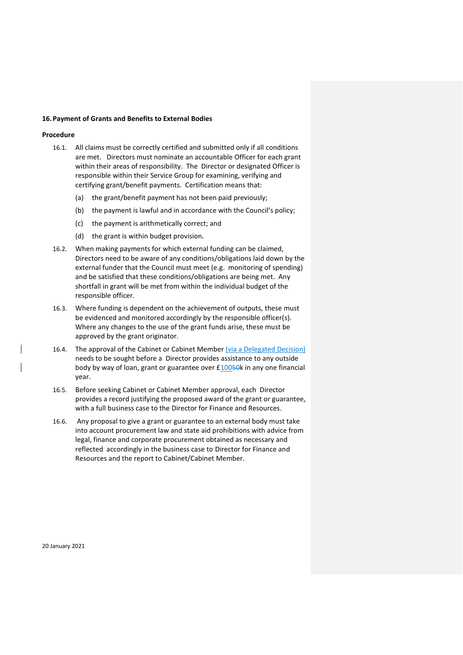#### **16.Payment of Grants and Benefits to External Bodies**

#### **Procedure**

- 16.1. All claims must be correctly certified and submitted only if all conditions are met. Directors must nominate an accountable Officer for each grant within their areas of responsibility. The Director or designated Officer is responsible within their Service Group for examining, verifying and certifying grant/benefit payments. Certification means that:
	- (a) the grant/benefit payment has not been paid previously;
	- (b) the payment is lawful and in accordance with the Council's policy;
	- (c) the payment is arithmetically correct; and
	- (d) the grant is within budget provision.
- 16.2. When making payments for which external funding can be claimed, Directors need to be aware of any conditions/obligations laid down by the external funder that the Council must meet (e.g. monitoring of spending) and be satisfied that these conditions/obligations are being met. Any shortfall in grant will be met from within the individual budget of the responsible officer.
- 16.3. Where funding is dependent on the achievement of outputs, these must be evidenced and monitored accordingly by the responsible officer(s). Where any changes to the use of the grant funds arise, these must be approved by the grant originator.
- 16.4. The approval of the Cabinet or Cabinet Member (via a Delegated Decision) needs to be sought before a Director provides assistance to any outside body by way of loan, grant or guarantee over £10050k in any one financial year.
- 16.5. Before seeking Cabinet or Cabinet Member approval, each Director provides a record justifying the proposed award of the grant or guarantee, with a full business case to the Director for Finance and Resources.
- <span id="page-28-0"></span>16.6. Any proposal to give a grant or guarantee to an external body must take into account procurement law and state aid prohibitions with advice from legal, finance and corporate procurement obtained as necessary and reflected accordingly in the business case to Director for Finance and Resources and the report to Cabinet/Cabinet Member.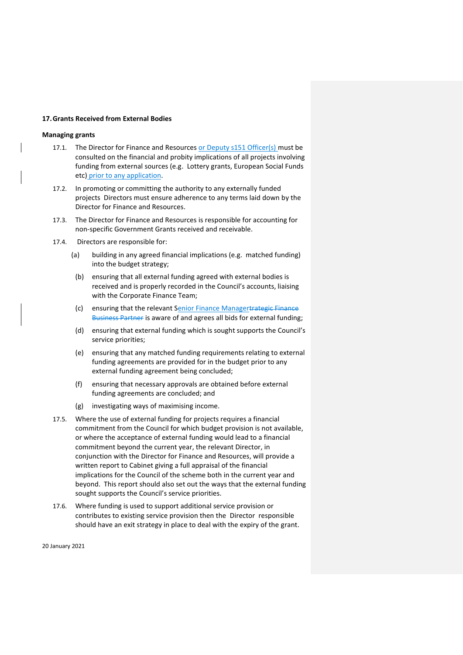# **17.Grants Received from External Bodies**

# **Managing grants**

- 17.1. The Director for Finance and Resources or Deputy s151 Officer(s) must be consulted on the financial and probity implications of all projects involving funding from external sources (e.g. Lottery grants, European Social Funds etc) prior to any application.
- 17.2. In promoting or committing the authority to any externally funded projects Directors must ensure adherence to any terms laid down by the Director for Finance and Resources.
- 17.3. The Director for Finance and Resources is responsible for accounting for non-specific Government Grants received and receivable.
- 17.4. Directors are responsible for:
	- (a) building in any agreed financial implications (e.g. matched funding) into the budget strategy;
	- (b) ensuring that all external funding agreed with external bodies is received and is properly recorded in the Council's accounts, liaising with the Corporate Finance Team;
	- (c) ensuring that the relevant Senior Finance Managertrategic Finance Business Partner is aware of and agrees all bids for external funding;
	- (d) ensuring that external funding which is sought supports the Council's service priorities;
	- (e) ensuring that any matched funding requirements relating to external funding agreements are provided for in the budget prior to any external funding agreement being concluded;
	- (f) ensuring that necessary approvals are obtained before external funding agreements are concluded; and
	- (g) investigating ways of maximising income.
- 17.5. Where the use of external funding for projects requires a financial commitment from the Council for which budget provision is not available, or where the acceptance of external funding would lead to a financial commitment beyond the current year, the relevant Director, in conjunction with the Director for Finance and Resources, will provide a written report to Cabinet giving a full appraisal of the financial implications for the Council of the scheme both in the current year and beyond. This report should also set out the ways that the external funding sought supports the Council's service priorities.
- 17.6. Where funding is used to support additional service provision or contributes to existing service provision then the Director responsible should have an exit strategy in place to deal with the expiry of the grant.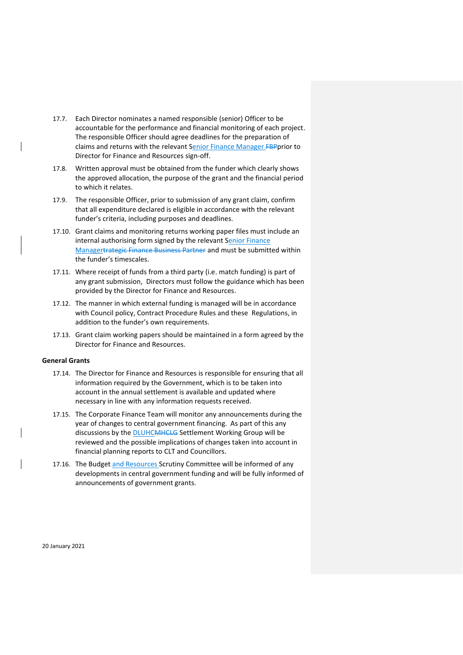- 17.7. Each Director nominates a named responsible (senior) Officer to be accountable for the performance and financial monitoring of each project. The responsible Officer should agree deadlines for the preparation of claims and returns with the relevant Senior Finance Manager **FBP**prior to Director for Finance and Resources sign-off.
- 17.8. Written approval must be obtained from the funder which clearly shows the approved allocation, the purpose of the grant and the financial period to which it relates.
- 17.9. The responsible Officer, prior to submission of any grant claim, confirm that all expenditure declared is eligible in accordance with the relevant funder's criteria, including purposes and deadlines.
- 17.10. Grant claims and monitoring returns working paper files must include an internal authorising form signed by the relevant Senior Finance Managertrategic Finance Business Partner and must be submitted within the funder's timescales.
- 17.11. Where receipt of funds from a third party (i.e. match funding) is part of any grant submission, Directors must follow the guidance which has been provided by the Director for Finance and Resources.
- 17.12. The manner in which external funding is managed will be in accordance with Council policy, Contract Procedure Rules and these Regulations, in addition to the funder's own requirements.
- 17.13. Grant claim working papers should be maintained in a form agreed by the Director for Finance and Resources.

## **General Grants**

- 17.14. The Director for Finance and Resources is responsible for ensuring that all information required by the Government, which is to be taken into account in the annual settlement is available and updated where necessary in line with any information requests received.
- 17.15. The Corporate Finance Team will monitor any announcements during the year of changes to central government financing. As part of this any discussions by the DLUHCMHCLG Settlement Working Group will be reviewed and the possible implications of changes taken into account in financial planning reports to CLT and Councillors.
- 17.16. The Budget and Resources Scrutiny Committee will be informed of any developments in central government funding and will be fully informed of announcements of government grants.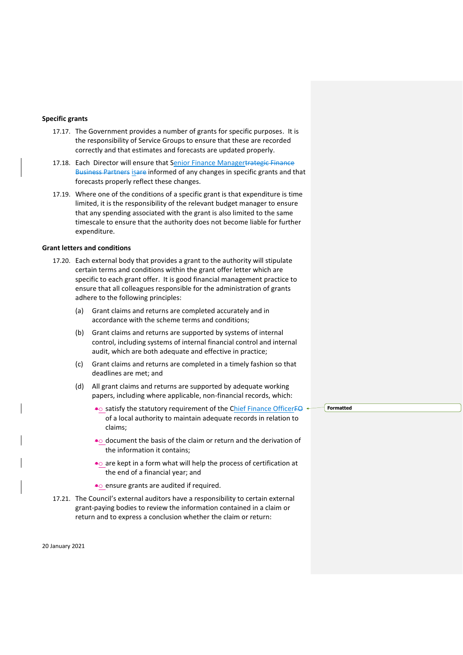## **Specific grants**

- 17.17. The Government provides a number of grants for specific purposes. It is the responsibility of Service Groups to ensure that these are recorded correctly and that estimates and forecasts are updated properly.
- 17.18. Each Director will ensure that Senior Finance Managertrategic Finance Business Partners isare informed of any changes in specific grants and that forecasts properly reflect these changes.
- 17.19. Where one of the conditions of a specific grant is that expenditure is time limited, it is the responsibility of the relevant budget manager to ensure that any spending associated with the grant is also limited to the same timescale to ensure that the authority does not become liable for further expenditure.

## **Grant letters and conditions**

- 17.20. Each external body that provides a grant to the authority will stipulate certain terms and conditions within the grant offer letter which are specific to each grant offer. It is good financial management practice to ensure that all colleagues responsible for the administration of grants adhere to the following principles:
	- (a) Grant claims and returns are completed accurately and in accordance with the scheme terms and conditions;
	- (b) Grant claims and returns are supported by systems of internal control, including systems of internal financial control and internal audit, which are both adequate and effective in practice;
	- (c) Grant claims and returns are completed in a timely fashion so that deadlines are met; and
	- (d) All grant claims and returns are supported by adequate working papers, including where applicable, non-financial records, which:
		- $\bullet$  satisfy the statutory requirement of the Chief Finance Officer FO  $\bullet$ of a local authority to maintain adequate records in relation to claims;
		- document the basis of the claim or return and the derivation of the information it contains;
		- •o are kept in a form what will help the process of certification at the end of a financial year; and
		- ensure grants are audited if required.
- 17.21. The Council's external auditors have a responsibility to certain external grant-paying bodies to review the information contained in a claim or return and to express a conclusion whether the claim or return:

20 January 2021

**Formatted**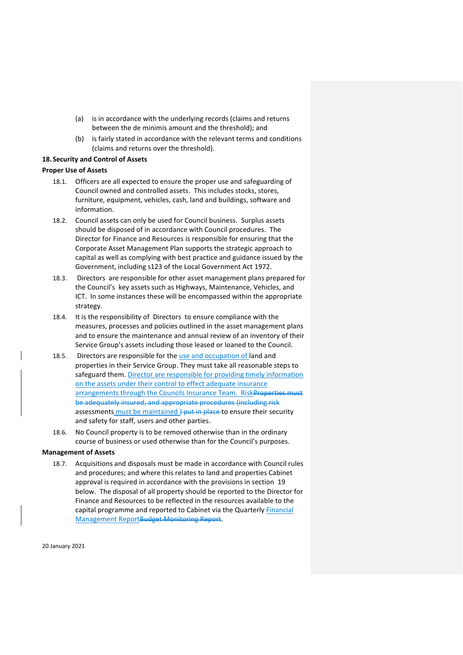- (a) is in accordance with the underlying records (claims and returns between the de minimis amount and the threshold); and
- (b) is fairly stated in accordance with the relevant terms and conditions (claims and returns over the threshold).

# <span id="page-32-0"></span>**18.Security and Control of Assets**

# **Proper Use of Assets**

- 18.1. Officers are all expected to ensure the proper use and safeguarding of Council owned and controlled assets. This includes stocks, stores, furniture, equipment, vehicles, cash, land and buildings, software and information.
- 18.2. Council assets can only be used for Council business. Surplus assets should be disposed of in accordance with Council procedures. The Director for Finance and Resources is responsible for ensuring that the Corporate Asset Management Plan supports the strategic approach to capital as well as complying with best practice and guidance issued by the Government, including s123 of the Local Government Act 1972.
- 18.3. Directors are responsible for other asset management plans prepared for the Council's key assets such as Highways, Maintenance, Vehicles, and ICT. In some instances these will be encompassed within the appropriate strategy.
- 18.4. It is the responsibility of Directors to ensure compliance with the measures, processes and policies outlined in the asset management plans and to ensure the maintenance and annual review of an inventory of their Service Group's assets including those leased or loaned to the Council.
- 18.5. Directors are responsible for the use and occupation of land and properties in their Service Group. They must take all reasonable steps to safeguard them. Director are responsible for providing timely information on the assets under their control to effect adequate insurance arrangements through the Councils Insurance Team. Risk Properties must be adequately insured, and appropriate procedures (including risk assessments must be maintained ) put in place to ensure their security and safety for staff, users and other parties.
- 18.6. No Council property is to be removed otherwise than in the ordinary course of business or used otherwise than for the Council's purposes.

# **Management of Assets**

18.7. Acquisitions and disposals must be made in accordance with Council rules and procedures; and where this relates to land and properties Cabinet approval is required in accordance with the provisions in section 19 below. The disposal of all property should be reported to the Director for Finance and Resources to be reflected in the resources available to the capital programme and reported to Cabinet via the Quarterly Financial Management ReportBudget Monitoring Report.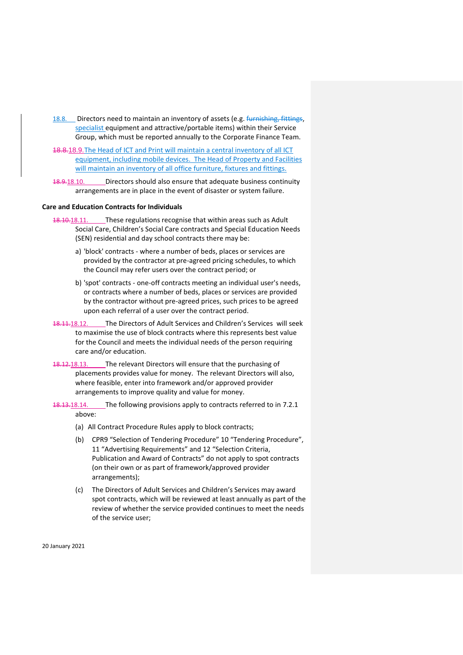- 18.8. Directors need to maintain an inventory of assets (e.g. *furnishing, fittings,* specialist equipment and attractive/portable items) within their Service Group, which must be reported annually to the Corporate Finance Team.
- 18.8.18.9.The Head of ICT and Print will maintain a central inventory of all ICT equipment, including mobile devices. The Head of Property and Facilities will maintain an inventory of all office furniture, fixtures and fittings.
- 18.9.18.10. Directors should also ensure that adequate business continuity arrangements are in place in the event of disaster or system failure.

#### <span id="page-33-0"></span>**Care and Education Contracts for Individuals**

- 18.10.18.11. These regulations recognise that within areas such as Adult Social Care, Children's Social Care contracts and Special Education Needs (SEN) residential and day school contracts there may be:
	- a) 'block' contracts where a number of beds, places or services are provided by the contractor at pre-agreed pricing schedules, to which the Council may refer users over the contract period; or
	- b) 'spot' contracts one-off contracts meeting an individual user's needs, or contracts where a number of beds, places or services are provided by the contractor without pre-agreed prices, such prices to be agreed upon each referral of a user over the contract period.
- 18.11.18.12. The Directors of Adult Services and Children's Services will seek to maximise the use of block contracts where this represents best value for the Council and meets the individual needs of the person requiring care and/or education.
- 18.12.18.13. The relevant Directors will ensure that the purchasing of placements provides value for money. The relevant Directors will also, where feasible, enter into framework and/or approved provider arrangements to improve quality and value for money.
- 18.13.18.14. The following provisions apply to contracts referred to in [7.2.1](#page-33-0) above:
	- (a) All Contract Procedure Rules apply to block contracts;
	- (b) CPR9 "Selection of Tendering Procedure" 10 "Tendering Procedure", 11 "Advertising Requirements" and 12 "Selection Criteria, Publication and Award of Contracts" do not apply to spot contracts (on their own or as part of framework/approved provider arrangements);
	- (c) The Directors of Adult Services and Children's Services may award spot contracts, which will be reviewed at least annually as part of the review of whether the service provided continues to meet the needs of the service user;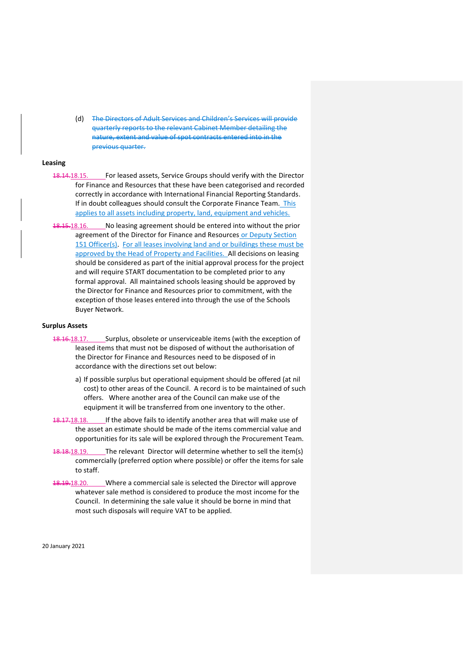(d) The Directors of Adult Services and Children's Services will provide quarterly reports to the relevant Cabinet Member detailing the nature, extent and value of spot contracts entered into in the previous quarter.

#### **Leasing**

- 18.14.18.15. For leased assets, Service Groups should verify with the Director for Finance and Resources that these have been categorised and recorded correctly in accordance with International Financial Reporting Standards. If in doubt colleagues should consult the Corporate Finance Team. This applies to all assets including property, land, equipment and vehicles.
- 18.15.18.16. No leasing agreement should be entered into without the prior agreement of the Director for Finance and Resources or Deputy Section 151 Officer(s). For all leases involving land and or buildings these must be approved by the Head of Property and Facilities. All decisions on leasing should be considered as part of the initial approval process for the project and will require START documentation to be completed prior to any formal approval. All maintained schools leasing should be approved by the Director for Finance and Resources prior to commitment, with the exception of those leases entered into through the use of the Schools Buyer Network.

# **Surplus Assets**

- 18.16.18.17. Surplus, obsolete or unserviceable items (with the exception of leased items that must not be disposed of without the authorisation of the Director for Finance and Resources need to be disposed of in accordance with the directions set out below:
	- a) If possible surplus but operational equipment should be offered (at nil cost) to other areas of the Council. A record is to be maintained of such offers. Where another area of the Council can make use of the equipment it will be transferred from one inventory to the other.
- 18.17.18.18. If the above fails to identify another area that will make use of the asset an estimate should be made of the items commercial value and opportunities for its sale will be explored through the Procurement Team.
- 18.18.19.19. The relevant Director will determine whether to sell the item(s) commercially (preferred option where possible) or offer the items for sale to staff.
- 18.19.18.20. Where a commercial sale is selected the Director will approve whatever sale method is considered to produce the most income for the Council. In determining the sale value it should be borne in mind that most such disposals will require VAT to be applied.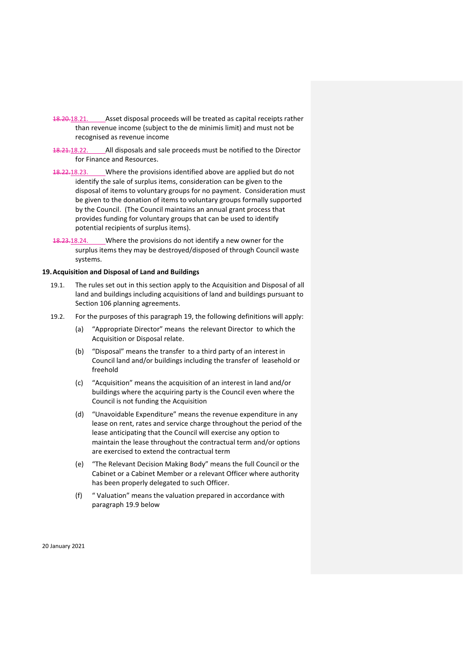- 18.20.18.21. Asset disposal proceeds will be treated as capital receipts rather than revenue income (subject to the de minimis limit) and must not be recognised as revenue income
- 18.21.18.22. All disposals and sale proceeds must be notified to the Director for Finance and Resources.
- 18.22.18.23. Where the provisions identified above are applied but do not identify the sale of surplus items, consideration can be given to the disposal of items to voluntary groups for no payment. Consideration must be given to the donation of items to voluntary groups formally supported by the Council. (The Council maintains an annual grant process that provides funding for voluntary groups that can be used to identify potential recipients of surplus items).
- 18.23.18.24. Where the provisions do not identify a new owner for the surplus items they may be destroyed/disposed of through Council waste systems.

#### <span id="page-35-0"></span>**19.Acquisition and Disposal of Land and Buildings**

- 19.1. The rules set out in this section apply to the Acquisition and Disposal of all land and buildings including acquisitions of land and buildings pursuant to Section 106 planning agreements.
- 19.2. For the purposes of this paragraph 19, the following definitions will apply:
	- (a) "Appropriate Director" means the relevant Director to which the Acquisition or Disposal relate.
	- (b) "Disposal" means the transfer to a third party of an interest in Council land and/or buildings including the transfer of leasehold or freehold
	- (c) "Acquisition" means the acquisition of an interest in land and/or buildings where the acquiring party is the Council even where the Council is not funding the Acquisition
	- (d) "Unavoidable Expenditure" means the revenue expenditure in any lease on rent, rates and service charge throughout the period of the lease anticipating that the Council will exercise any option to maintain the lease throughout the contractual term and/or options are exercised to extend the contractual term
	- (e) "The Relevant Decision Making Body" means the full Council or the Cabinet or a Cabinet Member or a relevant Officer where authority has been properly delegated to such Officer.
	- (f) " Valuation" means the valuation prepared in accordance with paragraph 19.9 below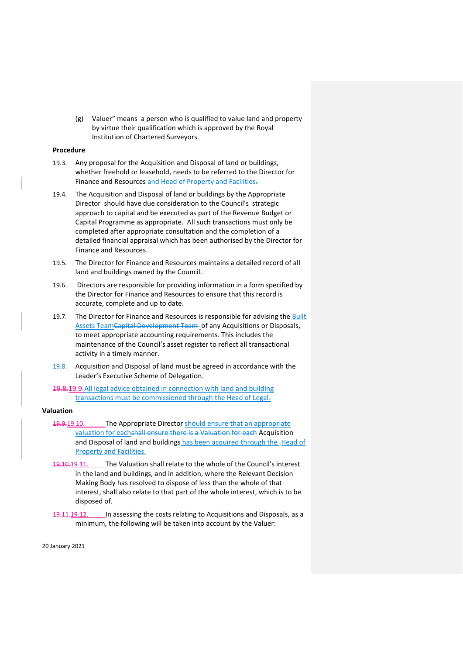(g) Valuer" means a person who is qualified to value land and property by virtue their qualification which is approved by the Royal Institution of Chartered Surveyors.

#### **Procedure**

- 19.3. Any proposal for the Acquisition and Disposal of land or buildings, whether freehold or leasehold, needs to be referred to the Director for Finance and Resources and Head of Property and Facilities.
- 19.4. The Acquisition and Disposal of land or buildings by the Appropriate Director should have due consideration to the Council's strategic approach to capital and be executed as part of the Revenue Budget or Capital Programme as appropriate. All such transactions must only be completed after appropriate consultation and the completion of a detailed financial appraisal which has been authorised by the Director for Finance and Resources.
- 19.5. The Director for Finance and Resources maintains a detailed record of all land and buildings owned by the Council.
- 19.6. Directors are responsible for providing information in a form specified by the Director for Finance and Resources to ensure that this record is accurate, complete and up to date.
- 19.7. The Director for Finance and Resources is responsible for advising the Built Assets TeamCapital Development Team of any Acquisitions or Disposals, to meet appropriate accounting requirements. This includes the maintenance of the Council's asset register to reflect all transactional activity in a timely manner.
- 19.8. Acquisition and Disposal of land must be agreed in accordance with the Leader's Executive Scheme of Delegation.
- 19.8.19.9.All legal advice obtained in connection with land and building transactions must be commissioned through the Head of Legal.

# **Valuation**

- 19.9.19.10. The Appropriate Director should ensure that an appropriate valuation for eachshall ensure there is a Valuation for each Acquisition and Disposal of land and buildings has been acquired through the -Head of Property and Facilities.
- 19.10.19.11. The Valuation shall relate to the whole of the Council's interest in the land and buildings, and in addition, where the Relevant Decision Making Body has resolved to dispose of less than the whole of that interest, shall also relate to that part of the whole interest, which is to be disposed of.
- 19.11.19.12. In assessing the costs relating to Acquisitions and Disposals, as a minimum, the following will be taken into account by the Valuer: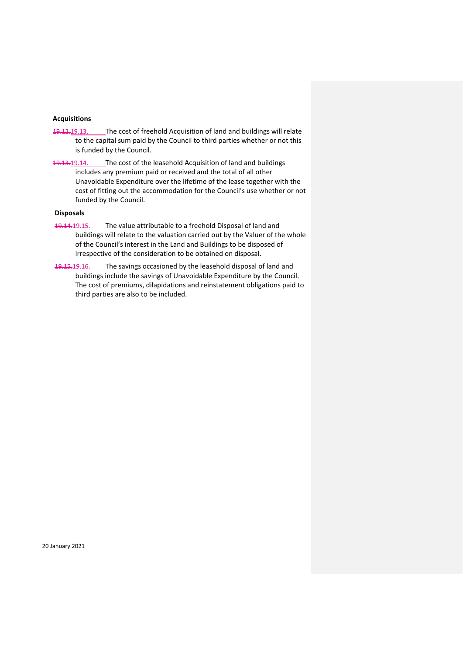# **Acquisitions**

- 19.12.19.13. The cost of freehold Acquisition of land and buildings will relate to the capital sum paid by the Council to third parties whether or not this is funded by the Council.
- 19.13.19.14. The cost of the leasehold Acquisition of land and buildings includes any premium paid or received and the total of all other Unavoidable Expenditure over the lifetime of the lease together with the cost of fitting out the accommodation for the Council's use whether or not funded by the Council.

# **Disposals**

- 19.14.19.15. The value attributable to a freehold Disposal of land and buildings will relate to the valuation carried out by the Valuer of the whole of the Council's interest in the Land and Buildings to be disposed of irrespective of the consideration to be obtained on disposal.
- 19.15.19.16. The savings occasioned by the leasehold disposal of land and buildings include the savings of Unavoidable Expenditure by the Council. The cost of premiums, dilapidations and reinstatement obligations paid to third parties are also to be included.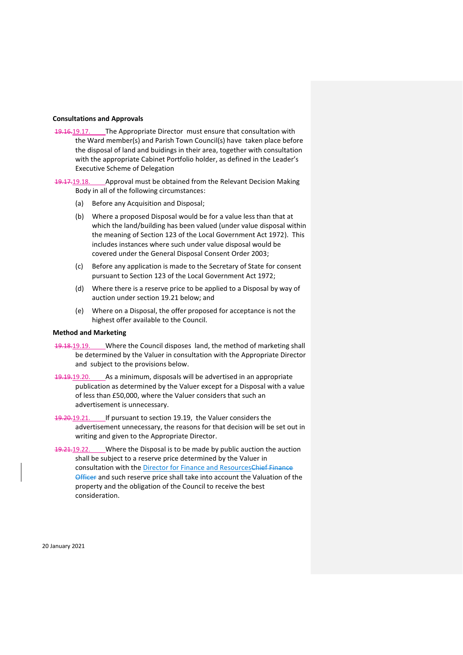## **Consultations and Approvals**

19.16.19.17. The Appropriate Director must ensure that consultation with the Ward member(s) and Parish Town Council(s) have taken place before the disposal of land and buidings in their area, together with consultation with the appropriate Cabinet Portfolio holder, as defined in the Leader's Executive Scheme of Delegation

19.17.19.18. Approval must be obtained from the Relevant Decision Making Body in all of the following circumstances:

- (a) Before any Acquisition and Disposal;
- (b) Where a proposed Disposal would be for a value less than that at which the land/building has been valued (under value disposal within the meaning of Section 123 of the Local Government Act 1972). This includes instances where such under value disposal would be covered under the General Disposal Consent Order 2003;
- (c) Before any application is made to the Secretary of State for consent pursuant to Section 123 of the Local Government Act 1972;
- (d) Where there is a reserve price to be applied to a Disposal by way of auction under section 19.21 below; and
- (e) Where on a Disposal, the offer proposed for acceptance is not the highest offer available to the Council.

#### **Method and Marketing**

- 19.18.19.19. Where the Council disposes land, the method of marketing shall be determined by the Valuer in consultation with the Appropriate Director and subject to the provisions below.
- 19.19.19.20. As a minimum, disposals will be advertised in an appropriate publication as determined by the Valuer except for a Disposal with a value of less than £50,000, where the Valuer considers that such an advertisement is unnecessary.
- 19.20.19.21. If pursuant to section 19.19, the Valuer considers the advertisement unnecessary, the reasons for that decision will be set out in writing and given to the Appropriate Director.
- 19.21.19.22. Where the Disposal is to be made by public auction the auction shall be subject to a reserve price determined by the Valuer in consultation with the Director for Finance and ResourcesChief Finance **Officer and such reserve price shall take into account the Valuation of the** property and the obligation of the Council to receive the best consideration.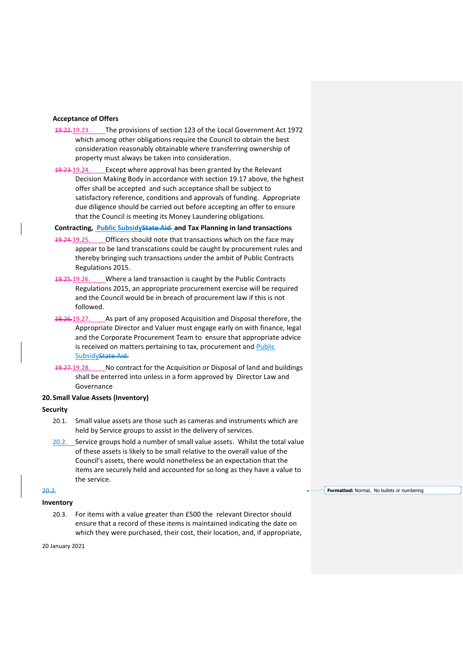#### **Acceptance of Offers**

- 19.22.19.23. The provisions of section 123 of the Local Government Act 1972 which among other obligations require the Council to obtain the best consideration reasonably obtainable where transferring ownership of property must always be taken into consideration.
- 19.23.19.24. Except where approval has been granted by the Relevant Decision Making Body in accordance with section 19.17 above, the hghest offer shall be accepted and such acceptance shall be subject to satisfactory reference, conditions and approvals of funding. Appropriate due diligence should be carried out before accepting an offer to ensure that the Council is meeting its Money Laundering obligations.

# **Contracting, Public SubsidyState Aid and Tax Planning in land transactions**

- 19.24.19.25. Officers should note that transactions which on the face may appear to be land transcations could be caught by procurement rules and thereby bringing such transactions under the ambit of Public Contracts Regulations 2015.
- 19.25.19.26. Where a land transaction is caught by the Public Contracts Regulations 2015, an appropriate procurement exercise will be required and the Council would be in breach of procurement law if this is not followed.
- 19.26.19.27. As part of any proposed Acquisition and Disposal therefore, the Appropriate Director and Valuer must engage early on with finance, legal and the Corporate Procurement Team to ensure that appropriate advice is received on matters pertaining to tax, procurement and Public Subsidy State Aid.
- 19.27.19.28. No contract for the Acquisition or Disposal of land and buildings shall be enterred into unless in a form approved by Director Law and Governance

#### <span id="page-39-0"></span>**20.Small Value Assets (Inventory)**

#### **Security**

- 20.1. Small value assets are those such as cameras and instruments which are held by Service groups to assist in the delivery of services.
- 20.2. Service groups hold a number of small value assets. Whilst the total value of these assets is likely to be small relative to the overall value of the Council's assets, there would nonetheless be an expectation that the items are securely held and accounted for so long as they have a value to the service.

# 20.2.

# **Inventory**

20.3. For items with a value greater than £500 the relevant Director should ensure that a record of these items is maintained indicating the date on which they were purchased, their cost, their location, and, if appropriate,

20 January 2021

**Formatted:** Normal, No bullets or numbering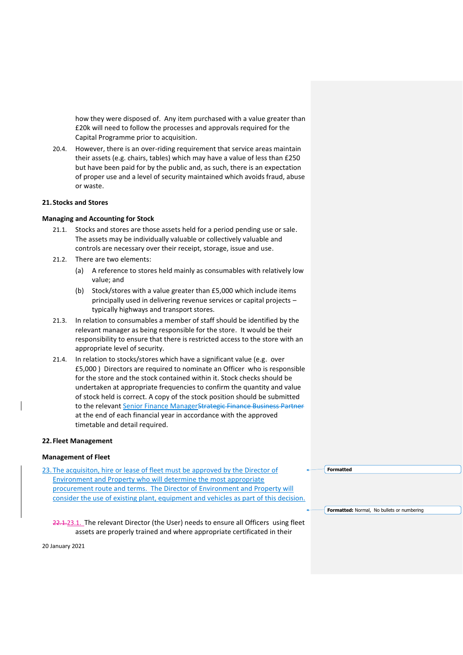how they were disposed of. Any item purchased with a value greater than £20k will need to follow the processes and approvals required for the Capital Programme prior to acquisition.

20.4. However, there is an over-riding requirement that service areas maintain their assets (e.g. chairs, tables) which may have a value of less than £250 but have been paid for by the public and, as such, there is an expectation of proper use and a level of security maintained which avoids fraud, abuse or waste.

#### <span id="page-40-0"></span>**21.Stocks and Stores**

#### **Managing and Accounting for Stock**

- 21.1. Stocks and stores are those assets held for a period pending use or sale. The assets may be individually valuable or collectively valuable and controls are necessary over their receipt, storage, issue and use.
- 21.2. There are two elements:
	- (a) A reference to stores held mainly as consumables with relatively low value; and
	- (b) Stock/stores with a value greater than £5,000 which include items principally used in delivering revenue services or capital projects – typically highways and transport stores.
- 21.3. In relation to consumables a member of staff should be identified by the relevant manager as being responsible for the store. It would be their responsibility to ensure that there is restricted access to the store with an appropriate level of security.
- 21.4. In relation to stocks/stores which have a significant value (e.g. over £5,000 ) Directors are required to nominate an Officer who is responsible for the store and the stock contained within it. Stock checks should be undertaken at appropriate frequencies to confirm the quantity and value of stock held is correct. A copy of the stock position should be submitted to the relevant Senior Finance ManagerStrategic Finance Business Partner at the end of each financial year in accordance with the approved timetable and detail required.

#### <span id="page-40-1"></span>**22.Fleet Management**

## **Management of Fleet**

23. The acquisiton, hire or lease of fleet must be approved by the Director of Environment and Property who will determine the most appropriate procurement route and terms. The Director of Environment and Property will consider the use of existing plant, equipment and vehicles as part of this decision.

22.1.23.1. The relevant Director (the User) needs to ensure all Officers using fleet assets are properly trained and where appropriate certificated in their

**Formatted**

**Formatted:** Normal, No bullets or numbering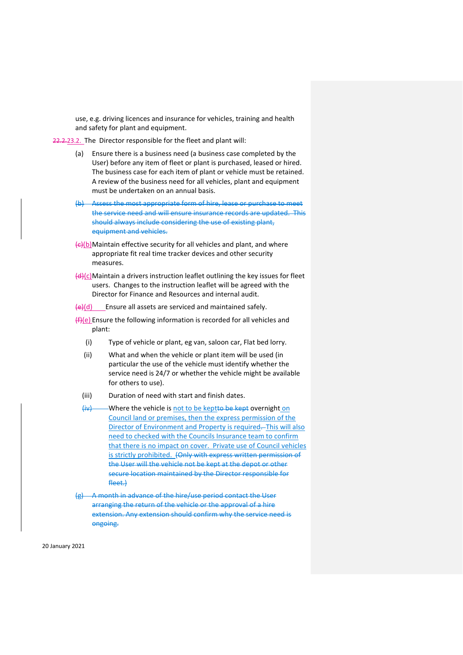use, e.g. driving licences and insurance for vehicles, training and health and safety for plant and equipment.

22.2.23.2. The Director responsible for the fleet and plant will:

- (a) Ensure there is a business need (a business case completed by the User) before any item of fleet or plant is purchased, leased or hired. The business case for each item of plant or vehicle must be retained. A review of the business need for all vehicles, plant and equipment must be undertaken on an annual basis.
- (b) Assess the most appropriate form of hire, lease or purchase to meet the service need and will ensure insurance records are updated. This should always include considering the use of existing plant, equipment and vehicles.
- $\left\{ \frac{f}{f}(b)$ Maintain effective security for all vehicles and plant, and where appropriate fit real time tracker devices and other security measures.
- $\left(\frac{d}{d}\right)(c)$ Maintain a drivers instruction leaflet outlining the key issues for fleet users. Changes to the instruction leaflet will be agreed with the Director for Finance and Resources and internal audit.

 $(e)(d)$  Ensure all assets are serviced and maintained safely.

- $(H)(e)$  Ensure the following information is recorded for all vehicles and plant:
	- (i) Type of vehicle or plant, eg van, saloon car, Flat bed lorry.
	- (ii) What and when the vehicle or plant item will be used (in particular the use of the vehicle must identify whether the service need is 24/7 or whether the vehicle might be available for others to use).
	- (iii) Duration of need with start and finish dates.
	- (iv) Where the vehicle is not to be keptto be kept overnight on Council land or premises, then the express permission of the Director of Environment and Property is required. This will also need to checked with the Councils Insurance team to confirm that there is no impact on cover. Private use of Council vehicles is strictly prohibited. (Only with express written permission of the User will the vehicle not be kept at the depot or other secure location maintained by the Director responsible for fleet.)
- (g) A month in advance of the hire/use period contact the User arranging the return of the vehicle or the approval of a hire extension. Any extension should confirm why the service need is ongoing.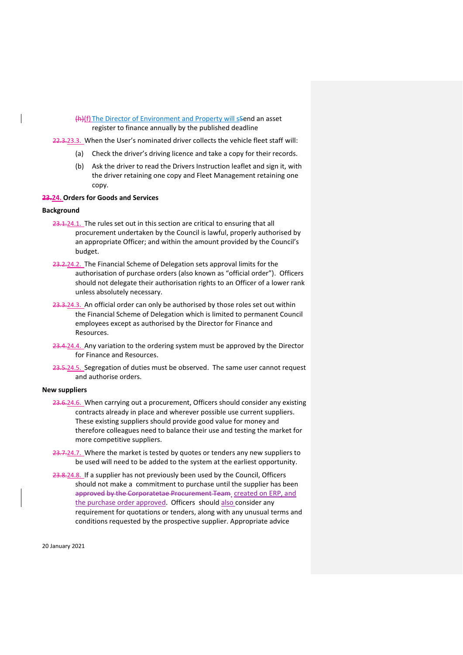(h)(f) The Director of Environment and Property will ssend an asset register to finance annually by the published deadline

22.3.23.3. When the User's nominated driver collects the vehicle fleet staff will:

- (a) Check the driver's driving licence and take a copy for their records.
- (b) Ask the driver to read the Drivers Instruction leaflet and sign it, with the driver retaining one copy and Fleet Management retaining one copy.

#### <span id="page-42-0"></span>**23.24. Orders for Goods and Services**

#### **Background**

- 23.1.24.1. The rules set out in this section are critical to ensuring that all procurement undertaken by the Council is lawful, properly authorised by an appropriate Officer; and within the amount provided by the Council's budget.
- 23.2.24.2. The Financial Scheme of Delegation sets approval limits for the authorisation of purchase orders (also known as "official order"). Officers should not delegate their authorisation rights to an Officer of a lower rank unless absolutely necessary.
- 23.3.24.3. An official order can only be authorised by those roles set out within the Financial Scheme of Delegation which is limited to permanent Council employees except as authorised by the Director for Finance and Resources.
- 23.4.24.4. Any variation to the ordering system must be approved by the Director for Finance and Resources.
- 23.5.24.5. Segregation of duties must be observed. The same user cannot request and authorise orders.

## **New suppliers**

- 23.6.24.6. When carrying out a procurement, Officers should consider any existing contracts already in place and wherever possible use current suppliers. These existing suppliers should provide good value for money and therefore colleagues need to balance their use and testing the market for more competitive suppliers.
- 23.7.24.7. Where the market is tested by quotes or tenders any new suppliers to be used will need to be added to the system at the earliest opportunity.
- 23.8.24.8. If a supplier has not previously been used by the Council, Officers should not make a commitment to purchase until the supplier has been approved by the Corporatetae Procurement Team created on ERP, and the purchase order approved. Officers should also consider any requirement for quotations or tenders, along with any unusual terms and conditions requested by the prospective supplier. Appropriate advice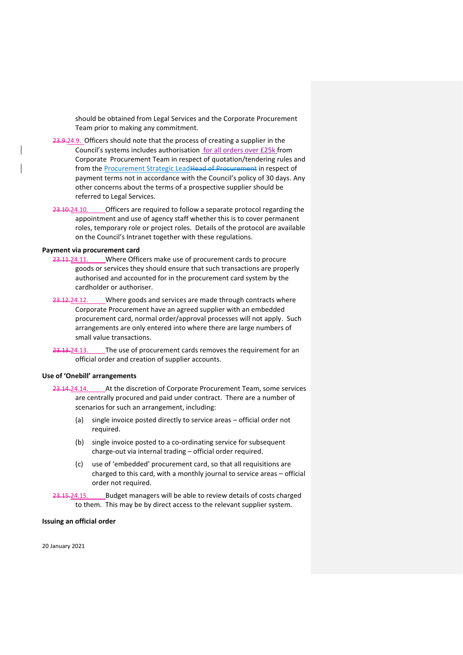should be obtained from Legal Services and the Corporate Procurement Team prior to making any commitment.

- 23.9.24.9. Officers should note that the process of creating a supplier in the Council's systems includes authorisation for all orders over £25k from Corporate Procurement Team in respect of quotation/tendering rules and from the Procurement Strategic LeadHead of Procurement in respect of payment terms not in accordance with the Council's policy of 30 days. Any other concerns about the terms of a prospective supplier should be referred to Legal Services.
- 23.10.24.10. Officers are required to follow a separate protocol regarding the appointment and use of agency staff whether this is to cover permanent roles, temporary role or project roles. Details of the protocol are available on the Council's Intranet together with these regulations.

# **Payment via procurement card**

- 23.11.24.11. Where Officers make use of procurement cards to procure goods or services they should ensure that such transactions are properly authorised and accounted for in the procurement card system by the cardholder or authoriser.
- 23.12.24.12. Where goods and services are made through contracts where Corporate Procurement have an agreed supplier with an embedded procurement card, normal order/approval processes will not apply. Such arrangements are only entered into where there are large numbers of small value transactions.
- 23.13.24.13. The use of procurement cards removes the requirement for an official order and creation of supplier accounts.

# **Use of 'Onebill' arrangements**

- 23.14.24.14. At the discretion of Corporate Procurement Team, some services are centrally procured and paid under contract. There are a number of scenarios for such an arrangement, including:
	- (a) single invoice posted directly to service areas official order not required.
	- (b) single invoice posted to a co-ordinating service for subsequent charge-out via internal trading – official order required.
	- (c) use of 'embedded' procurement card, so that all requisitions are charged to this card, with a monthly journal to service areas – official order not required.
- 23.15.24.15. Budget managers will be able to review details of costs charged to them. This may be by direct access to the relevant supplier system.

#### **Issuing an official order**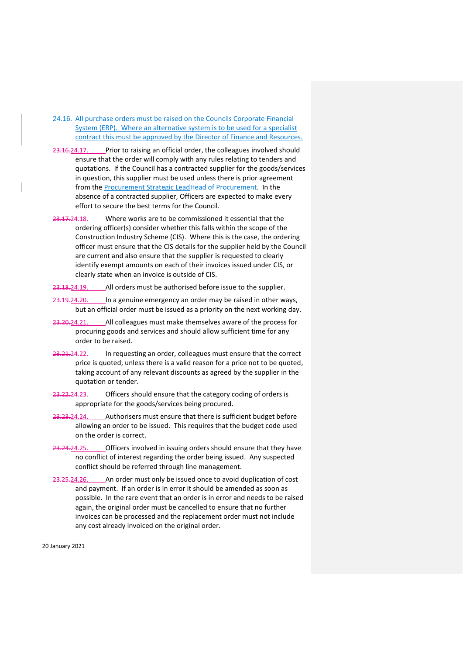# 24.16. All purchase orders must be raised on the Councils Corporate Financial System (ERP). Where an alternative system is to be used for a specialist contract this must be approved by the Director of Finance and Resources.

- 23.16.24.17. Prior to raising an official order, the colleagues involved should ensure that the order will comply with any rules relating to tenders and quotations. If the Council has a contracted supplier for the goods/services in question, this supplier must be used unless there is prior agreement from the Procurement Strategic LeadHead of Procurement. In the absence of a contracted supplier, Officers are expected to make every effort to secure the best terms for the Council.
- 23.17.24.18. Where works are to be commissioned it essential that the ordering officer(s) consider whether this falls within the scope of the Construction Industry Scheme (CIS). Where this is the case, the ordering officer must ensure that the CIS details for the supplier held by the Council are current and also ensure that the supplier is requested to clearly identify exempt amounts on each of their invoices issued under CIS, or clearly state when an invoice is outside of CIS.
- 23.18.24.19. All orders must be authorised before issue to the supplier.
- 23.19.24.20. In a genuine emergency an order may be raised in other ways, but an official order must be issued as a priority on the next working day.
- 23.20.24.21. All colleagues must make themselves aware of the process for procuring goods and services and should allow sufficient time for any order to be raised.
- 23.21.24.22. In requesting an order, colleagues must ensure that the correct price is quoted, unless there is a valid reason for a price not to be quoted, taking account of any relevant discounts as agreed by the supplier in the quotation or tender.
- 23.22.24.23. Officers should ensure that the category coding of orders is appropriate for the goods/services being procured.
- 23.23.24.24. Authorisers must ensure that there is sufficient budget before allowing an order to be issued. This requires that the budget code used on the order is correct.
- 23.24.24.25. Officers involved in issuing orders should ensure that they have no conflict of interest regarding the order being issued. Any suspected conflict should be referred through line management.
- 23.25.24.26. An order must only be issued once to avoid duplication of cost and payment. If an order is in error it should be amended as soon as possible. In the rare event that an order is in error and needs to be raised again, the original order must be cancelled to ensure that no further invoices can be processed and the replacement order must not include any cost already invoiced on the original order.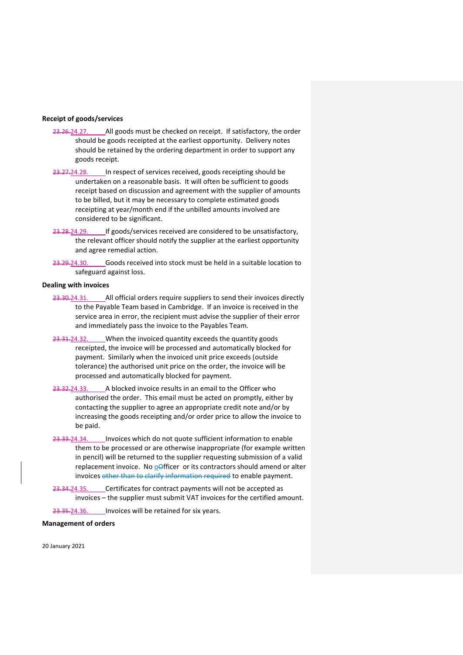## **Receipt of goods/services**

- 23.26.24.27. All goods must be checked on receipt. If satisfactory, the order should be goods receipted at the earliest opportunity. Delivery notes should be retained by the ordering department in order to support any goods receipt.
- 23.27.24.28. In respect of services received, goods receipting should be undertaken on a reasonable basis. It will often be sufficient to goods receipt based on discussion and agreement with the supplier of amounts to be billed, but it may be necessary to complete estimated goods receipting at year/month end if the unbilled amounts involved are considered to be significant.
- 23.28.24.29. If goods/services received are considered to be unsatisfactory, the relevant officer should notify the supplier at the earliest opportunity and agree remedial action.
- 23.29.24.30. Goods received into stock must be held in a suitable location to safeguard against loss.

#### **Dealing with invoices**

- 23.30.24.31. All official orders require suppliers to send their invoices directly to the Payable Team based in Cambridge. If an invoice is received in the service area in error, the recipient must advise the supplier of their error and immediately pass the invoice to the Payables Team.
- 23.31.24.32. When the invoiced quantity exceeds the quantity goods receipted, the invoice will be processed and automatically blocked for payment. Similarly when the invoiced unit price exceeds (outside tolerance) the authorised unit price on the order, the invoice will be processed and automatically blocked for payment.
- 23.32.24.33. A blocked invoice results in an email to the Officer who authorised the order. This email must be acted on promptly, either by contacting the supplier to agree an appropriate credit note and/or by increasing the goods receipting and/or order price to allow the invoice to be paid.
- 23.33.24.34. Invoices which do not quote sufficient information to enable them to be processed or are otherwise inappropriate (for example written in pencil) will be returned to the supplier requesting submission of a valid replacement invoice. No oofficer or its contractors should amend or alter invoices other than to clarify information required to enable payment.
- 23.34.24.35. Certificates for contract payments will not be accepted as invoices – the supplier must submit VAT invoices for the certified amount.

23.35.24.36. Invoices will be retained for six years.

# **Management of orders**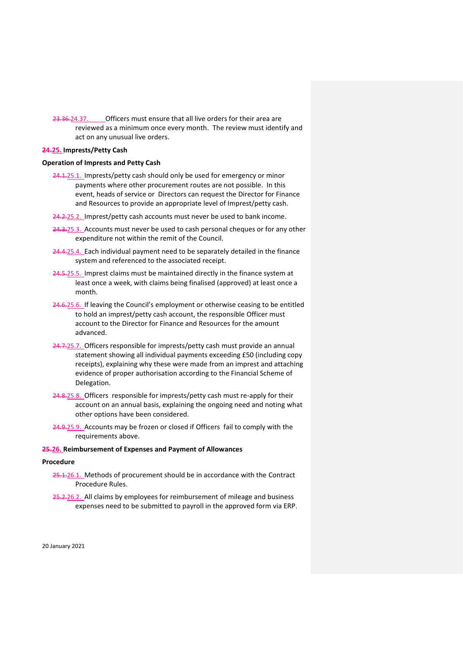23.36.24.37. Officers must ensure that all live orders for their area are reviewed as a minimum once every month. The review must identify and act on any unusual live orders.

# <span id="page-46-0"></span>**24.25. Imprests/Petty Cash**

## **Operation of Imprests and Petty Cash**

- 24.1.25.1. Imprests/petty cash should only be used for emergency or minor payments where other procurement routes are not possible. In this event, heads of service or Directors can request the Director for Finance and Resources to provide an appropriate level of Imprest/petty cash.
- 24.2.25.2. Imprest/petty cash accounts must never be used to bank income.
- 24.3.25.3. Accounts must never be used to cash personal cheques or for any other expenditure not within the remit of the Council.
- 24.4.25.4. Each individual payment need to be separately detailed in the finance system and referenced to the associated receipt.
- 24.5.25.5. Imprest claims must be maintained directly in the finance system at least once a week, with claims being finalised (approved) at least once a month.
- 24.6.25.6. If leaving the Council's employment or otherwise ceasing to be entitled to hold an imprest/petty cash account, the responsible Officer must account to the Director for Finance and Resources for the amount advanced.
- 24.7.25.7. Officers responsible for imprests/petty cash must provide an annual statement showing all individual payments exceeding £50 (including copy receipts), explaining why these were made from an imprest and attaching evidence of proper authorisation according to the Financial Scheme of Delegation.
- 24.8.25.8. Officers responsible for imprests/petty cash must re-apply for their account on an annual basis, explaining the ongoing need and noting what other options have been considered.
- 24.9.25.9. Accounts may be frozen or closed if Officers fail to comply with the requirements above.

## <span id="page-46-1"></span>**25.26. Reimbursement of Expenses and Payment of Allowances**

#### **Procedure**

- 25.1.26.1. Methods of procurement should be in accordance with the Contract Procedure Rules.
- 25.2.26.2. All claims by employees for reimbursement of mileage and business expenses need to be submitted to payroll in the approved form via ERP.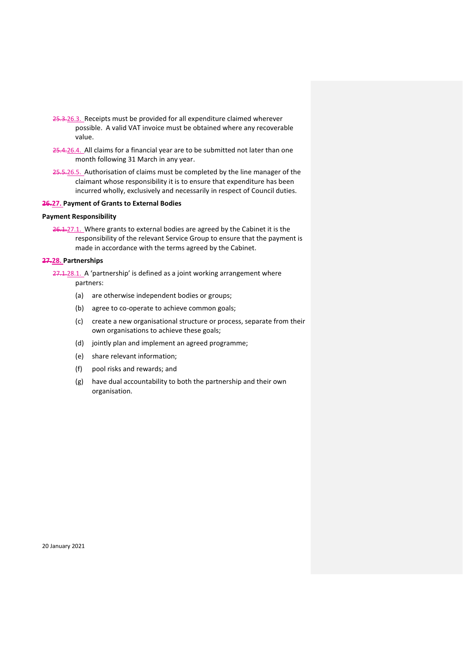- 25.3.26.3. Receipts must be provided for all expenditure claimed wherever possible. A valid VAT invoice must be obtained where any recoverable value.
- 25.4.26.4. All claims for a financial year are to be submitted not later than one month following 31 March in any year.
- 25.5.26.5. Authorisation of claims must be completed by the line manager of the claimant whose responsibility it is to ensure that expenditure has been incurred wholly, exclusively and necessarily in respect of Council duties.

# <span id="page-47-0"></span>**26.27. Payment of Grants to External Bodies**

# **Payment Responsibility**

26.1.27.1. Where grants to external bodies are agreed by the Cabinet it is the responsibility of the relevant Service Group to ensure that the payment is made in accordance with the terms agreed by the Cabinet.

# <span id="page-47-1"></span>**27.28. Partnerships**

27.1.28.1. A 'partnership' is defined as a joint working arrangement where partners:

- (a) are otherwise independent bodies or groups;
- (b) agree to co-operate to achieve common goals;
- (c) create a new organisational structure or process, separate from their own organisations to achieve these goals;
- (d) jointly plan and implement an agreed programme;
- (e) share relevant information;
- (f) pool risks and rewards; and
- (g) have dual accountability to both the partnership and their own organisation.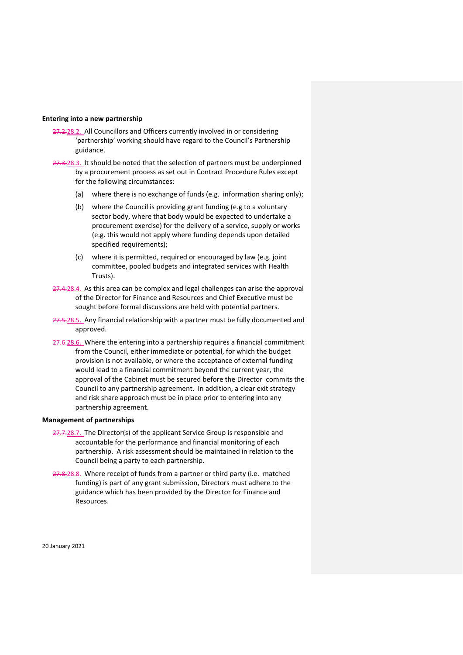#### **Entering into a new partnership**

- 27.2.28.2. All Councillors and Officers currently involved in or considering 'partnership' working should have regard to the Council's Partnership guidance.
- 27.3.28.3. It should be noted that the selection of partners must be underpinned by a procurement process as set out in Contract Procedure Rules except for the following circumstances:
	- (a) where there is no exchange of funds (e.g. information sharing only);
	- (b) where the Council is providing grant funding (e.g to a voluntary sector body, where that body would be expected to undertake a procurement exercise) for the delivery of a service, supply or works (e.g. this would not apply where funding depends upon detailed specified requirements);
	- (c) where it is permitted, required or encouraged by law (e.g. joint committee, pooled budgets and integrated services with Health Trusts).
- 27.4.28.4. As this area can be complex and legal challenges can arise the approval of the Director for Finance and Resources and Chief Executive must be sought before formal discussions are held with potential partners.
- 27.5.28.5. Any financial relationship with a partner must be fully documented and approved.
- 27.6.28.6. Where the entering into a partnership requires a financial commitment from the Council, either immediate or potential, for which the budget provision is not available, or where the acceptance of external funding would lead to a financial commitment beyond the current year, the approval of the Cabinet must be secured before the Director commits the Council to any partnership agreement. In addition, a clear exit strategy and risk share approach must be in place prior to entering into any partnership agreement.

#### **Management of partnerships**

- 27.7.28.7. The Director(s) of the applicant Service Group is responsible and accountable for the performance and financial monitoring of each partnership. A risk assessment should be maintained in relation to the Council being a party to each partnership.
- 27.8.28.8. Where receipt of funds from a partner or third party (i.e. matched funding) is part of any grant submission, Directors must adhere to the guidance which has been provided by the Director for Finance and Resources.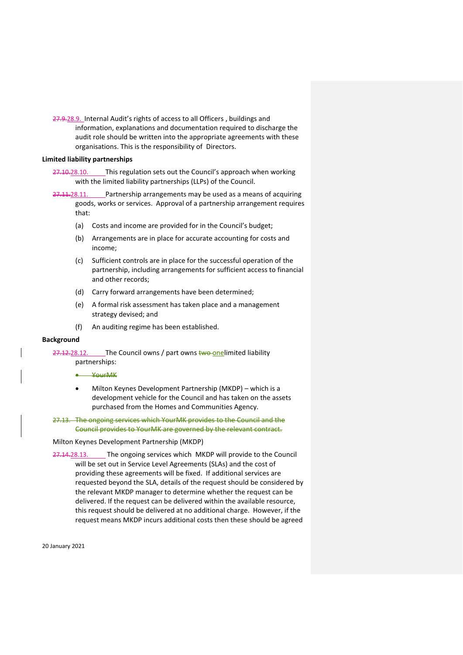27.9.28.9. Internal Audit's rights of access to all Officers, buildings and information, explanations and documentation required to discharge the audit role should be written into the appropriate agreements with these organisations. This is the responsibility of Directors.

#### **Limited liability partnerships**

27.10.28.10. This regulation sets out the Council's approach when working with the limited liability partnerships (LLPs) of the Council.

27.11.28.11. Partnership arrangements may be used as a means of acquiring goods, works or services. Approval of a partnership arrangement requires that:

- (a) Costs and income are provided for in the Council's budget;
- (b) Arrangements are in place for accurate accounting for costs and income;
- (c) Sufficient controls are in place for the successful operation of the partnership, including arrangements for sufficient access to financial and other records;
- (d) Carry forward arrangements have been determined;
- (e) A formal risk assessment has taken place and a management strategy devised; and
- (f) An auditing regime has been established.

## **Background**

27.12.28.12. The Council owns / part owns two onelimited liability partnerships:

- YourMK
- Milton Keynes Development Partnership (MKDP) which is a development vehicle for the Council and has taken on the assets purchased from the Homes and Communities Agency.
- 27.13. The ongoing services which YourMK provides to the Council and the Council provides to YourMK are governed by the relevant contract.

Milton Keynes Development Partnership (MKDP)

27.14.28.13. The ongoing services which MKDP will provide to the Council will be set out in Service Level Agreements (SLAs) and the cost of providing these agreements will be fixed. If additional services are requested beyond the SLA, details of the request should be considered by the relevant MKDP manager to determine whether the request can be delivered. If the request can be delivered within the available resource, this request should be delivered at no additional charge. However, if the request means MKDP incurs additional costs then these should be agreed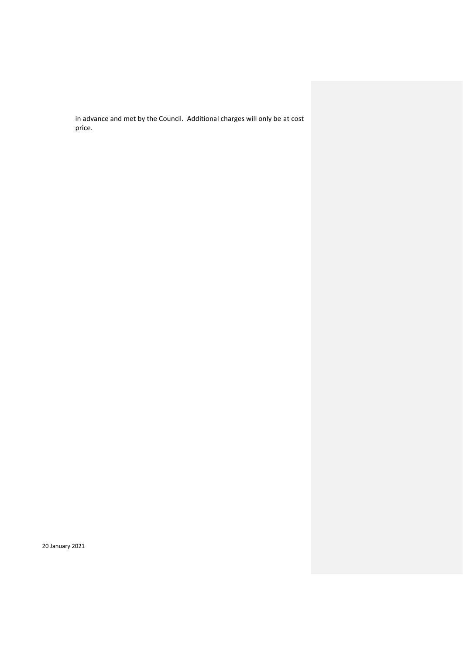in advance and met by the Council. Additional charges will only be at cost price.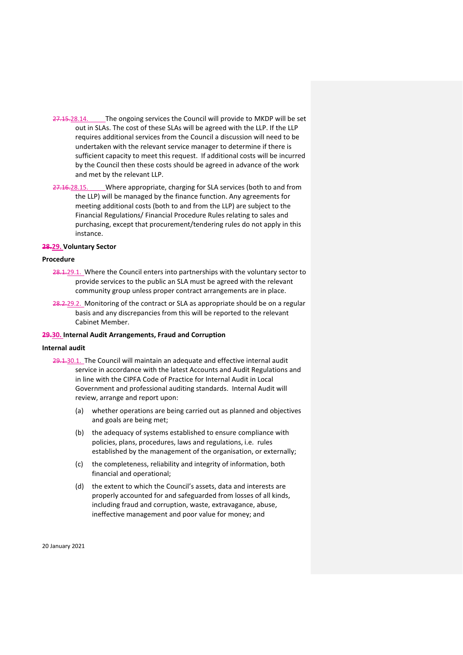- 27.15.28.14. The ongoing services the Council will provide to MKDP will be set out in SLAs. The cost of these SLAs will be agreed with the LLP. If the LLP requires additional services from the Council a discussion will need to be undertaken with the relevant service manager to determine if there is sufficient capacity to meet this request. If additional costs will be incurred by the Council then these costs should be agreed in advance of the work and met by the relevant LLP.
- 27.16.28.15. Where appropriate, charging for SLA services (both to and from the LLP) will be managed by the finance function. Any agreements for meeting additional costs (both to and from the LLP) are subject to the Financial Regulations/ Financial Procedure Rules relating to sales and purchasing, except that procurement/tendering rules do not apply in this instance.

## <span id="page-51-0"></span>**28.29. Voluntary Sector**

## **Procedure**

- 28.1.29.1. Where the Council enters into partnerships with the voluntary sector to provide services to the public an SLA must be agreed with the relevant community group unless proper contract arrangements are in place.
- 28.2.29.2. Monitoring of the contract or SLA as appropriate should be on a regular basis and any discrepancies from this will be reported to the relevant Cabinet Member.

## **29.30. Internal Audit Arrangements, Fraud and Corruption**

#### **Internal audit**

- 29.1.30.1. The Council will maintain an adequate and effective internal audit service in accordance with the latest Accounts and Audit Regulations and in line with the CIPFA Code of Practice for Internal Audit in Local Government and professional auditing standards. Internal Audit will review, arrange and report upon:
	- (a) whether operations are being carried out as planned and objectives and goals are being met;
	- (b) the adequacy of systems established to ensure compliance with policies, plans, procedures, laws and regulations, i.e. rules established by the management of the organisation, or externally;
	- (c) the completeness, reliability and integrity of information, both financial and operational;
	- (d) the extent to which the Council's assets, data and interests are properly accounted for and safeguarded from losses of all kinds, including fraud and corruption, waste, extravagance, abuse, ineffective management and poor value for money; and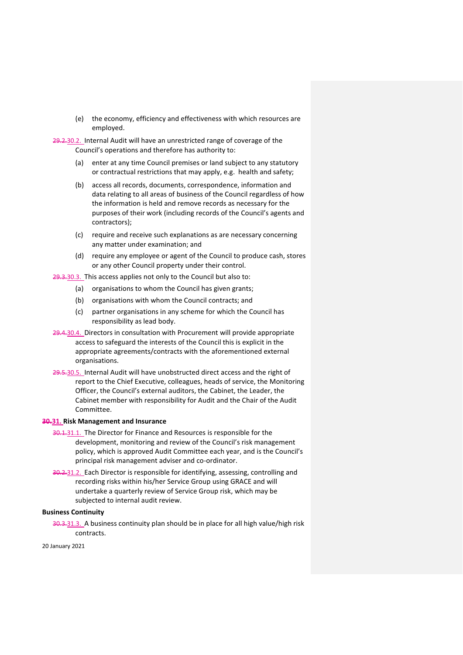(e) the economy, efficiency and effectiveness with which resources are employed.

29.2.30.2. Internal Audit will have an unrestricted range of coverage of the Council's operations and therefore has authority to:

- (a) enter at any time Council premises or land subject to any statutory or contractual restrictions that may apply, e.g. health and safety;
- (b) access all records, documents, correspondence, information and data relating to all areas of business of the Council regardless of how the information is held and remove records as necessary for the purposes of their work (including records of the Council's agents and contractors);
- (c) require and receive such explanations as are necessary concerning any matter under examination; and
- (d) require any employee or agent of the Council to produce cash, stores or any other Council property under their control.

29.3.30.3. This access applies not only to the Council but also to:

- (a) organisations to whom the Council has given grants;
- (b) organisations with whom the Council contracts; and
- (c) partner organisations in any scheme for which the Council has responsibility as lead body.
- 29.4.30.4. Directors in consultation with Procurement will provide appropriate access to safeguard the interests of the Council this is explicit in the appropriate agreements/contracts with the aforementioned external organisations.
- 29.5.30.5. Internal Audit will have unobstructed direct access and the right of report to the Chief Executive, colleagues, heads of service, the Monitoring Officer, the Council's external auditors, the Cabinet, the Leader, the Cabinet member with responsibility for Audit and the Chair of the Audit Committee.

# **30.31. Risk Management and Insurance**

- 30.1.31.1. The Director for Finance and Resources is responsible for the development, monitoring and review of the Council's risk management policy, which is approved Audit Committee each year, and is the Council's principal risk management adviser and co-ordinator.
- 30.2.31.2. Each Director is responsible for identifying, assessing, controlling and recording risks within his/her Service Group using GRACE and will undertake a quarterly review of Service Group risk, which may be subjected to internal audit review.

#### **Business Continuity**

30.3.31.3. A business continuity plan should be in place for all high value/high risk contracts.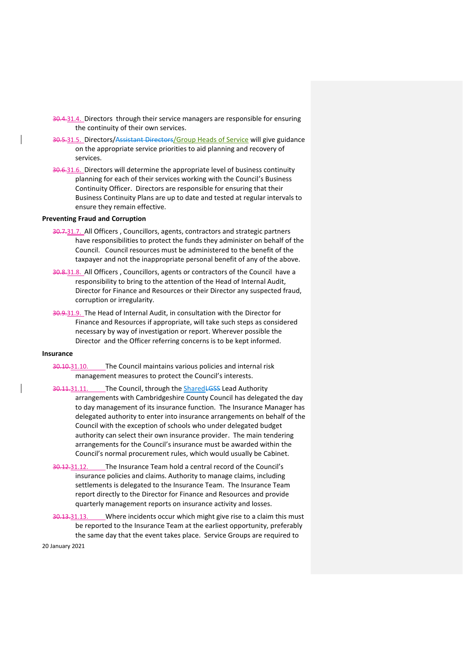- 30.4.31.4. Directors through their service managers are responsible for ensuring the continuity of their own services.
- 30.5.31.5. Directors/Assistant Directors/Group Heads of Service will give guidance on the appropriate service priorities to aid planning and recovery of services.
- 30.6.31.6. Directors will determine the appropriate level of business continuity planning for each of their services working with the Council's Business Continuity Officer. Directors are responsible for ensuring that their Business Continuity Plans are up to date and tested at regular intervals to ensure they remain effective.

## **Preventing Fraud and Corruption**

- 30.7.31.7. All Officers, Councillors, agents, contractors and strategic partners have responsibilities to protect the funds they administer on behalf of the Council. Council resources must be administered to the benefit of the taxpayer and not the inappropriate personal benefit of any of the above.
- 30.8.31.8. All Officers, Councillors, agents or contractors of the Council have a responsibility to bring to the attention of the Head of Internal Audit, Director for Finance and Resources or their Director any suspected fraud, corruption or irregularity.
- 30.9.31.9. The Head of Internal Audit, in consultation with the Director for Finance and Resources if appropriate, will take such steps as considered necessary by way of investigation or report. Wherever possible the Director and the Officer referring concerns is to be kept informed.

# **Insurance**

- 30.10.31.10. The Council maintains various policies and internal risk management measures to protect the Council's interests.
- 30.11.31.11. The Council, through the Shared LGSS Lead Authority arrangements with Cambridgeshire County Council has delegated the day to day management of its insurance function. The Insurance Manager has delegated authority to enter into insurance arrangements on behalf of the Council with the exception of schools who under delegated budget authority can select their own insurance provider. The main tendering arrangements for the Council's insurance must be awarded within the Council's normal procurement rules, which would usually be Cabinet.
- 30.12.31.12. The Insurance Team hold a central record of the Council's insurance policies and claims. Authority to manage claims, including settlements is delegated to the Insurance Team. The Insurance Team report directly to the Director for Finance and Resources and provide quarterly management reports on insurance activity and losses.
- 30.13.31.13. Where incidents occur which might give rise to a claim this must be reported to the Insurance Team at the earliest opportunity, preferably the same day that the event takes place. Service Groups are required to